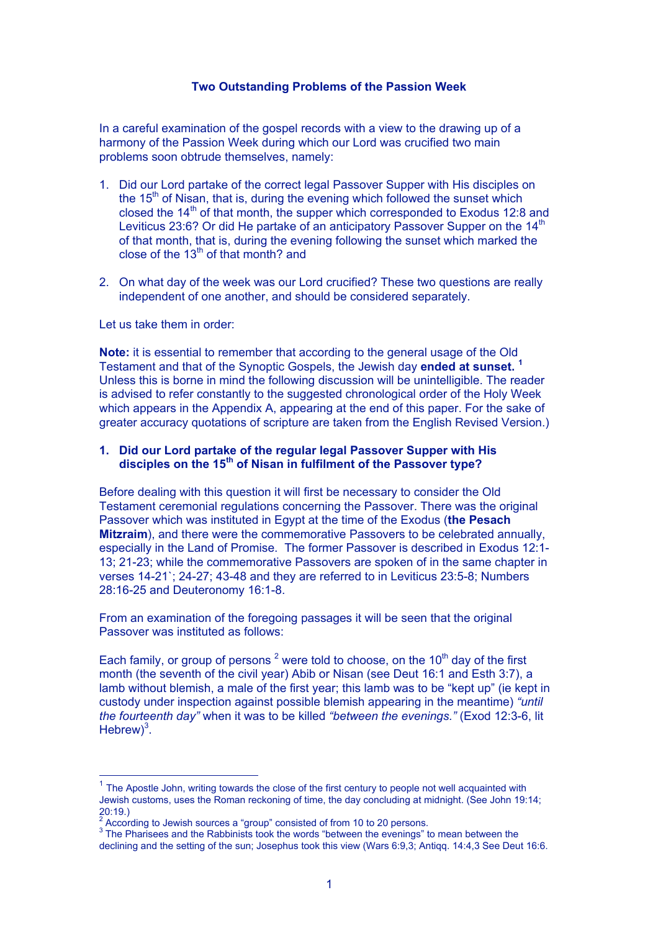#### **Two Outstanding Problems of the Passion Week**

In a careful examination of the gospel records with a view to the drawing up of a harmony of the Passion Week during which our Lord was crucified two main problems soon obtrude themselves, namely:

- 1. Did our Lord partake of the correct legal Passover Supper with His disciples on the  $15<sup>th</sup>$  of Nisan, that is, during the evening which followed the sunset which closed the  $14<sup>th</sup>$  of that month, the supper which corresponded to Exodus 12:8 and Leviticus 23:6? Or did He partake of an anticipatory Passover Supper on the  $14<sup>th</sup>$ of that month, that is, during the evening following the sunset which marked the close of the  $13<sup>th</sup>$  of that month? and
- 2. On what day of the week was our Lord crucified? These two questions are really independent of one another, and should be considered separately.

#### Let us take them in order:

**Note:** it is essential to remember that according to the general usage of the Old Testament and that of the Synoptic Gospels, the Jewish day **ended at sunset. <sup>1</sup>** Unless this is borne in mind the following discussion will be unintelligible. The reader is advised to refer constantly to the suggested chronological order of the Holy Week which appears in the Appendix A, appearing at the end of this paper. For the sake of greater accuracy quotations of scripture are taken from the English Revised Version.)

### **1. Did our Lord partake of the regular legal Passover Supper with His disciples on the 15th of Nisan in fulfilment of the Passover type?**

Before dealing with this question it will first be necessary to consider the Old Testament ceremonial regulations concerning the Passover. There was the original Passover which was instituted in Egypt at the time of the Exodus (**the Pesach Mitzraim**), and there were the commemorative Passovers to be celebrated annually, especially in the Land of Promise. The former Passover is described in Exodus 12:1- 13; 21-23; while the commemorative Passovers are spoken of in the same chapter in verses 14-21`; 24-27; 43-48 and they are referred to in Leviticus 23:5-8; Numbers 28:16-25 and Deuteronomy 16:1-8.

From an examination of the foregoing passages it will be seen that the original Passover was instituted as follows:

Each family, or group of persons<sup>2</sup> were told to choose, on the 10<sup>th</sup> day of the first month (the seventh of the civil year) Abib or Nisan (see Deut 16:1 and Esth 3:7), a lamb without blemish, a male of the first year; this lamb was to be "kept up" (ie kept in custody under inspection against possible blemish appearing in the meantime) *"until the fourteenth day"* when it was to be killed *"between the evenings."* (Exod 12:3-6, lit Hebrew $)^3$ .

 $1$  The Apostle John, writing towards the close of the first century to people not well acquainted with Jewish customs, uses the Roman reckoning of time, the day concluding at midnight. (See John 19:14; 20:19.)

 $2^{2}$  According to Jewish sources a "group" consisted of from 10 to 20 persons.

 $3$  The Pharisees and the Rabbinists took the words "between the evenings" to mean between the declining and the setting of the sun; Josephus took this view (Wars 6:9,3; Antiqq. 14:4,3 See Deut 16:6.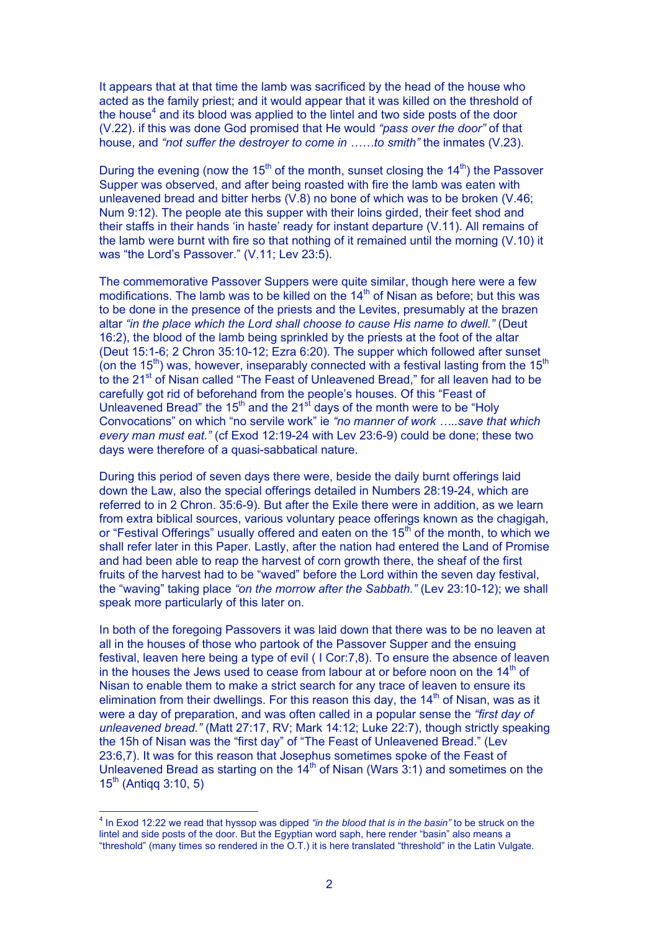It appears that at that time the lamb was sacrificed by the head of the house who acted as the family priest; and it would appear that it was killed on the threshold of the house $<sup>4</sup>$  and its blood was applied to the lintel and two side posts of the door</sup> (V.22). if this was done God promised that He would *"pass over the door"* of that house, and *"not suffer the destroyer to come in ……to smith"* the inmates (V.23).

During the evening (now the 15<sup>th</sup> of the month, sunset closing the  $14<sup>th</sup>$ ) the Passover Supper was observed, and after being roasted with fire the lamb was eaten with unleavened bread and bitter herbs (V.8) no bone of which was to be broken (V.46; Num 9:12). The people ate this supper with their loins girded, their feet shod and their staffs in their hands 'in haste' ready for instant departure (V.11). All remains of the lamb were burnt with fire so that nothing of it remained until the morning (V.10) it was "the Lord's Passover." (V.11; Lev 23:5).

The commemorative Passover Suppers were quite similar, though here were a few modifications. The lamb was to be killed on the  $14<sup>th</sup>$  of Nisan as before; but this was to be done in the presence of the priests and the Levites, presumably at the brazen altar *"in the place which the Lord shall choose to cause His name to dwell."* (Deut 16:2), the blood of the lamb being sprinkled by the priests at the foot of the altar (Deut 15:1-6; 2 Chron 35:10-12; Ezra 6:20). The supper which followed after sunset (on the 15<sup>th</sup>) was, however, inseparably connected with a festival lasting from the 15<sup>th</sup> to the 21<sup>st</sup> of Nisan called "The Feast of Unleavened Bread," for all leaven had to be carefully got rid of beforehand from the people's houses. Of this "Feast of Unleavened Bread" the  $15<sup>th</sup>$  and the  $21<sup>st</sup>$  days of the month were to be "Holy Convocations" on which "no servile work" ie *"no manner of work …..save that which every man must eat."* (cf Exod 12:19-24 with Lev 23:6-9) could be done; these two days were therefore of a quasi-sabbatical nature.

During this period of seven days there were, beside the daily burnt offerings laid down the Law, also the special offerings detailed in Numbers 28:19-24, which are referred to in 2 Chron. 35:6-9). But after the Exile there were in addition, as we learn from extra biblical sources, various voluntary peace offerings known as the chagigah, or "Festival Offerings" usually offered and eaten on the 15<sup>th</sup> of the month, to which we shall refer later in this Paper. Lastly, after the nation had entered the Land of Promise and had been able to reap the harvest of corn growth there, the sheaf of the first fruits of the harvest had to be "waved" before the Lord within the seven day festival, the "waving" taking place *"on the morrow after the Sabbath."* (Lev 23:10-12); we shall speak more particularly of this later on.

In both of the foregoing Passovers it was laid down that there was to be no leaven at all in the houses of those who partook of the Passover Supper and the ensuing festival, leaven here being a type of evil ( I Cor:7,8). To ensure the absence of leaven in the houses the Jews used to cease from labour at or before noon on the  $14<sup>th</sup>$  of Nisan to enable them to make a strict search for any trace of leaven to ensure its elimination from their dwellings. For this reason this day, the  $14<sup>th</sup>$  of Nisan, was as it were a day of preparation, and was often called in a popular sense the *"first day of unleavened bread."* (Matt 27:17, RV; Mark 14:12; Luke 22:7), though strictly speaking the 15h of Nisan was the "first day" of "The Feast of Unleavened Bread." (Lev 23:6,7). It was for this reason that Josephus sometimes spoke of the Feast of Unleavened Bread as starting on the 14<sup>th</sup> of Nisan (Wars 3:1) and sometimes on the  $15^{th}$  (Antigg 3:10, 5)

 <sup>4</sup> In Exod 12:22 we read that hyssop was dipped *"in the blood that is in the basin"* to be struck on the lintel and side posts of the door. But the Egyptian word saph, here render "basin" also means a "threshold" (many times so rendered in the O.T.) it is here translated "threshold" in the Latin Vulgate.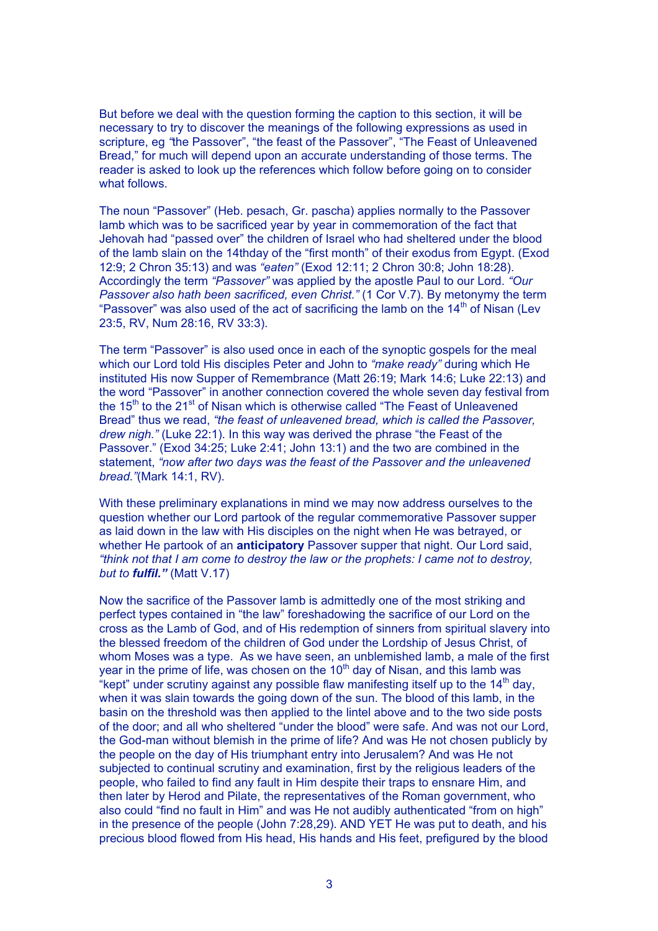But before we deal with the question forming the caption to this section, it will be necessary to try to discover the meanings of the following expressions as used in scripture, eg *"*the Passover", "the feast of the Passover", "The Feast of Unleavened Bread," for much will depend upon an accurate understanding of those terms. The reader is asked to look up the references which follow before going on to consider what follows.

The noun "Passover" (Heb. pesach, Gr. pascha) applies normally to the Passover lamb which was to be sacrificed year by year in commemoration of the fact that Jehovah had "passed over" the children of Israel who had sheltered under the blood of the lamb slain on the 14thday of the "first month" of their exodus from Egypt. (Exod 12:9; 2 Chron 35:13) and was *"eaten"* (Exod 12:11; 2 Chron 30:8; John 18:28). Accordingly the term *"Passover"* was applied by the apostle Paul to our Lord. *"Our Passover also hath been sacrificed, even Christ."* (1 Cor V.7). By metonymy the term "Passover" was also used of the act of sacrificing the lamb on the  $14<sup>th</sup>$  of Nisan (Lev 23:5, RV, Num 28:16, RV 33:3).

The term "Passover" is also used once in each of the synoptic gospels for the meal which our Lord told His disciples Peter and John to *"make ready"* during which He instituted His now Supper of Remembrance (Matt 26:19; Mark 14:6; Luke 22:13) and the word "Passover" in another connection covered the whole seven day festival from the  $15<sup>th</sup>$  to the 21<sup>st</sup> of Nisan which is otherwise called "The Feast of Unleavened" Bread" thus we read, *"the feast of unleavened bread, which is called the Passover, drew nigh."* (Luke 22:1). In this way was derived the phrase "the Feast of the Passover." (Exod 34:25; Luke 2:41; John 13:1) and the two are combined in the statement, *"now after two days was the feast of the Passover and the unleavened bread."*(Mark 14:1, RV).

With these preliminary explanations in mind we may now address ourselves to the question whether our Lord partook of the regular commemorative Passover supper as laid down in the law with His disciples on the night when He was betrayed, or whether He partook of an **anticipatory** Passover supper that night. Our Lord said, *"think not that I am come to destroy the law or the prophets: I came not to destroy, but to fulfil."* (Matt V.17)

Now the sacrifice of the Passover lamb is admittedly one of the most striking and perfect types contained in "the law" foreshadowing the sacrifice of our Lord on the cross as the Lamb of God, and of His redemption of sinners from spiritual slavery into the blessed freedom of the children of God under the Lordship of Jesus Christ, of whom Moses was a type. As we have seen, an unblemished lamb, a male of the first year in the prime of life, was chosen on the  $10<sup>th</sup>$  day of Nisan, and this lamb was "kept" under scrutiny against any possible flaw manifesting itself up to the  $14<sup>th</sup>$  day. when it was slain towards the going down of the sun. The blood of this lamb, in the basin on the threshold was then applied to the lintel above and to the two side posts of the door; and all who sheltered "under the blood" were safe. And was not our Lord, the God-man without blemish in the prime of life? And was He not chosen publicly by the people on the day of His triumphant entry into Jerusalem? And was He not subjected to continual scrutiny and examination, first by the religious leaders of the people, who failed to find any fault in Him despite their traps to ensnare Him, and then later by Herod and Pilate, the representatives of the Roman government, who also could "find no fault in Him" and was He not audibly authenticated "from on high" in the presence of the people (John 7:28,29). AND YET He was put to death, and his precious blood flowed from His head, His hands and His feet, prefigured by the blood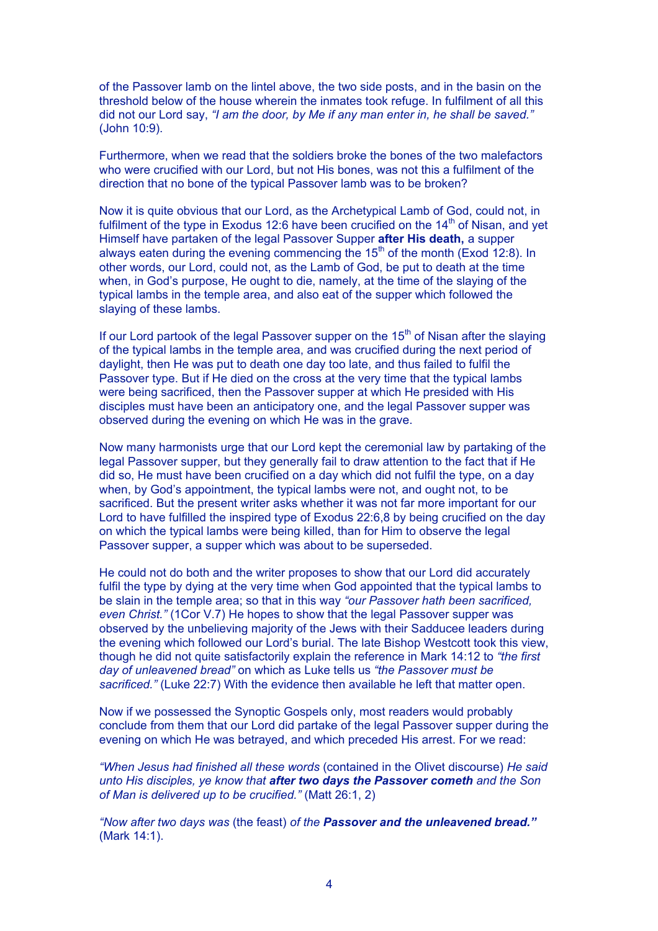of the Passover lamb on the lintel above, the two side posts, and in the basin on the threshold below of the house wherein the inmates took refuge. In fulfilment of all this did not our Lord say, *"I am the door, by Me if any man enter in, he shall be saved."* (John 10:9).

Furthermore, when we read that the soldiers broke the bones of the two malefactors who were crucified with our Lord, but not His bones, was not this a fulfilment of the direction that no bone of the typical Passover lamb was to be broken?

Now it is quite obvious that our Lord, as the Archetypical Lamb of God, could not, in fulfilment of the type in Exodus 12:6 have been crucified on the  $14<sup>th</sup>$  of Nisan, and yet Himself have partaken of the legal Passover Supper **after His death,** a supper always eaten during the evening commencing the  $15<sup>th</sup>$  of the month (Exod 12:8). In other words, our Lord, could not, as the Lamb of God, be put to death at the time when, in God's purpose, He ought to die, namely, at the time of the slaying of the typical lambs in the temple area, and also eat of the supper which followed the slaying of these lambs.

If our Lord partook of the legal Passover supper on the  $15<sup>th</sup>$  of Nisan after the slaying of the typical lambs in the temple area, and was crucified during the next period of daylight, then He was put to death one day too late, and thus failed to fulfil the Passover type. But if He died on the cross at the very time that the typical lambs were being sacrificed, then the Passover supper at which He presided with His disciples must have been an anticipatory one, and the legal Passover supper was observed during the evening on which He was in the grave.

Now many harmonists urge that our Lord kept the ceremonial law by partaking of the legal Passover supper, but they generally fail to draw attention to the fact that if He did so, He must have been crucified on a day which did not fulfil the type, on a day when, by God's appointment, the typical lambs were not, and ought not, to be sacrificed. But the present writer asks whether it was not far more important for our Lord to have fulfilled the inspired type of Exodus 22:6,8 by being crucified on the day on which the typical lambs were being killed, than for Him to observe the legal Passover supper, a supper which was about to be superseded.

He could not do both and the writer proposes to show that our Lord did accurately fulfil the type by dying at the very time when God appointed that the typical lambs to be slain in the temple area; so that in this way *"our Passover hath been sacrificed, even Christ."* (1Cor V.7) He hopes to show that the legal Passover supper was observed by the unbelieving majority of the Jews with their Sadducee leaders during the evening which followed our Lord's burial. The late Bishop Westcott took this view, though he did not quite satisfactorily explain the reference in Mark 14:12 to *"the first day of unleavened bread"* on which as Luke tells us *"the Passover must be sacrificed."* (Luke 22:7) With the evidence then available he left that matter open.

Now if we possessed the Synoptic Gospels only, most readers would probably conclude from them that our Lord did partake of the legal Passover supper during the evening on which He was betrayed, and which preceded His arrest. For we read:

*"When Jesus had finished all these words* (contained in the Olivet discourse) *He said unto His disciples, ye know that after two days the Passover cometh and the Son of Man is delivered up to be crucified."* (Matt 26:1, 2)

*"Now after two days was* (the feast) *of the Passover and the unleavened bread."* (Mark 14:1).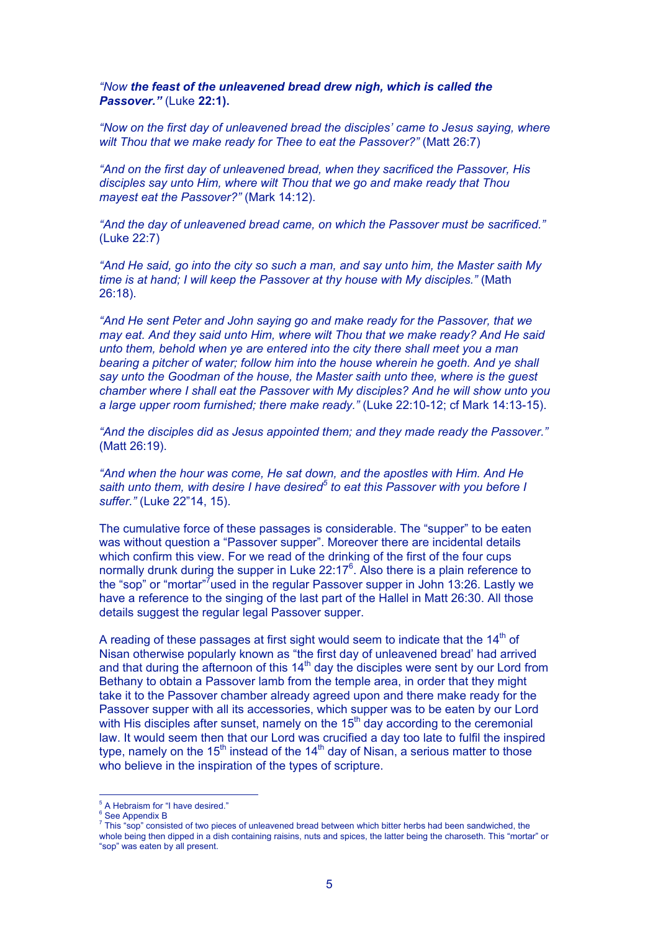*"Now the feast of the unleavened bread drew nigh, which is called the Passover."* (Luke **22:1).**

*"Now on the first day of unleavened bread the disciples' came to Jesus saying, where wilt Thou that we make ready for Thee to eat the Passover?"* (Matt 26:7)

*"And on the first day of unleavened bread, when they sacrificed the Passover, His disciples say unto Him, where wilt Thou that we go and make ready that Thou mayest eat the Passover?"* (Mark 14:12).

*"And the day of unleavened bread came, on which the Passover must be sacrificed."* (Luke 22:7)

*"And He said, go into the city so such a man, and say unto him, the Master saith My time is at hand; I will keep the Passover at thy house with My disciples."* (Math 26:18).

*"And He sent Peter and John saying go and make ready for the Passover, that we may eat. And they said unto Him, where wilt Thou that we make ready? And He said unto them, behold when ye are entered into the city there shall meet you a man bearing a pitcher of water; follow him into the house wherein he goeth. And ye shall say unto the Goodman of the house, the Master saith unto thee, where is the guest chamber where I shall eat the Passover with My disciples? And he will show unto you a large upper room furnished; there make ready."* (Luke 22:10-12; cf Mark 14:13-15).

*"And the disciples did as Jesus appointed them; and they made ready the Passover."* (Matt 26:19).

*"And when the hour was come, He sat down, and the apostles with Him. And He saith unto them, with desire I have desired<sup>5</sup> to eat this Passover with you before I suffer."* (Luke 22"14, 15).

The cumulative force of these passages is considerable. The "supper" to be eaten was without question a "Passover supper". Moreover there are incidental details which confirm this view. For we read of the drinking of the first of the four cups normally drunk during the supper in Luke  $22:17^6$ . Also there is a plain reference to the "sop" or "mortar"<sup>7</sup>used in the regular Passover supper in John 13:26. Lastly we have a reference to the singing of the last part of the Hallel in Matt 26:30. All those details suggest the regular legal Passover supper.

A reading of these passages at first sight would seem to indicate that the  $14<sup>th</sup>$  of Nisan otherwise popularly known as "the first day of unleavened bread' had arrived and that during the afternoon of this  $14<sup>th</sup>$  day the disciples were sent by our Lord from Bethany to obtain a Passover lamb from the temple area, in order that they might take it to the Passover chamber already agreed upon and there make ready for the Passover supper with all its accessories, which supper was to be eaten by our Lord with His disciples after sunset, namely on the  $15<sup>th</sup>$  day according to the ceremonial law. It would seem then that our Lord was crucified a day too late to fulfil the inspired type, namely on the  $15<sup>th</sup>$  instead of the  $14<sup>th</sup>$  day of Nisan, a serious matter to those who believe in the inspiration of the types of scripture.

<sup>-&</sup>lt;br>5 <sup>5</sup> A Hebraism for "I have desired."

<sup>&</sup>lt;sup>6</sup> See Appendix B

 $^7$  This "sop" consisted of two pieces of unleavened bread between which bitter herbs had been sandwiched, the whole being then dipped in a dish containing raisins, nuts and spices, the latter being the charoseth. This "mortar" or "sop" was eaten by all present.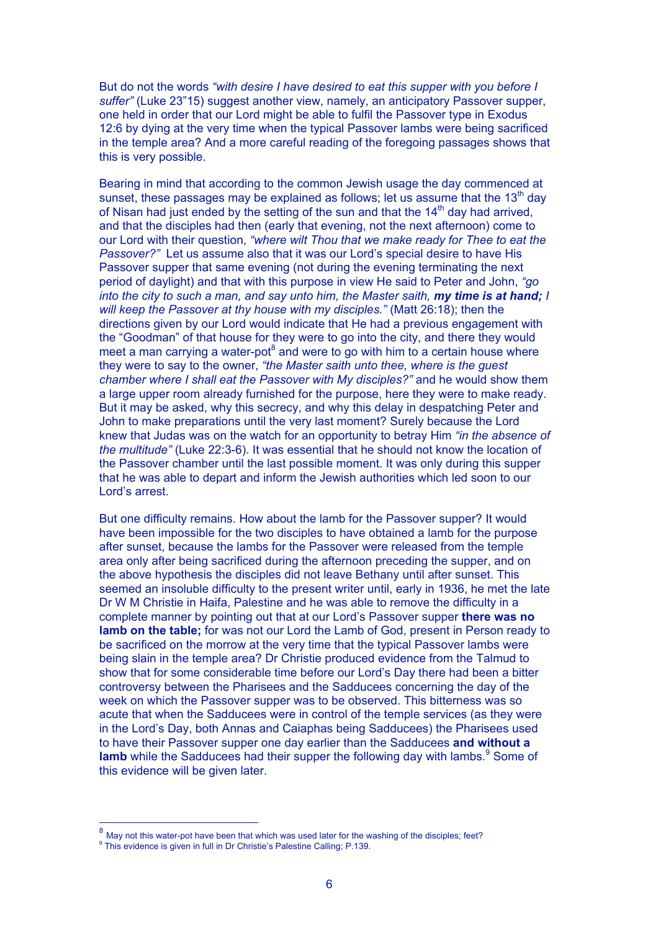But do not the words *"with desire I have desired to eat this supper with you before I suffer"* (Luke 23"15) suggest another view, namely, an anticipatory Passover supper, one held in order that our Lord might be able to fulfil the Passover type in Exodus 12:6 by dying at the very time when the typical Passover lambs were being sacrificed in the temple area? And a more careful reading of the foregoing passages shows that this is very possible.

Bearing in mind that according to the common Jewish usage the day commenced at sunset, these passages may be explained as follows; let us assume that the  $13<sup>th</sup>$  day of Nisan had just ended by the setting of the sun and that the  $14<sup>th</sup>$  day had arrived, and that the disciples had then (early that evening, not the next afternoon) come to our Lord with their question, *"where wilt Thou that we make ready for Thee to eat the Passover?"* Let us assume also that it was our Lord's special desire to have His Passover supper that same evening (not during the evening terminating the next period of daylight) and that with this purpose in view He said to Peter and John, *"go into the city to such a man, and say unto him, the Master saith, my time is at hand; I will keep the Passover at thy house with my disciples."* (Matt 26:18); then the directions given by our Lord would indicate that He had a previous engagement with the "Goodman" of that house for they were to go into the city, and there they would meet a man carrying a water-pot $^8$  and were to go with him to a certain house where they were to say to the owner, *"the Master saith unto thee, where is the guest chamber where I shall eat the Passover with My disciples?"* and he would show them a large upper room already furnished for the purpose, here they were to make ready. But it may be asked, why this secrecy, and why this delay in despatching Peter and John to make preparations until the very last moment? Surely because the Lord knew that Judas was on the watch for an opportunity to betray Him *"in the absence of the multitude"* (Luke 22:3-6). It was essential that he should not know the location of the Passover chamber until the last possible moment. It was only during this supper that he was able to depart and inform the Jewish authorities which led soon to our Lord's arrest.

But one difficulty remains. How about the lamb for the Passover supper? It would have been impossible for the two disciples to have obtained a lamb for the purpose after sunset, because the lambs for the Passover were released from the temple area only after being sacrificed during the afternoon preceding the supper, and on the above hypothesis the disciples did not leave Bethany until after sunset. This seemed an insoluble difficulty to the present writer until, early in 1936, he met the late Dr W M Christie in Haifa, Palestine and he was able to remove the difficulty in a complete manner by pointing out that at our Lord's Passover supper **there was no lamb on the table;** for was not our Lord the Lamb of God, present in Person ready to be sacrificed on the morrow at the very time that the typical Passover lambs were being slain in the temple area? Dr Christie produced evidence from the Talmud to show that for some considerable time before our Lord's Day there had been a bitter controversy between the Pharisees and the Sadducees concerning the day of the week on which the Passover supper was to be observed. This bitterness was so acute that when the Sadducees were in control of the temple services (as they were in the Lord's Day, both Annas and Caiaphas being Sadducees) the Pharisees used to have their Passover supper one day earlier than the Sadducees **and without a** lamb while the Sadducees had their supper the following day with lambs.<sup>9</sup> Some of this evidence will be given later.

 $8$  May not this water-pot have been that which was used later for the washing of the disciples; feet?

<sup>&</sup>lt;sup>9</sup> This evidence is given in full in Dr Christie's Palestine Calling; P.139.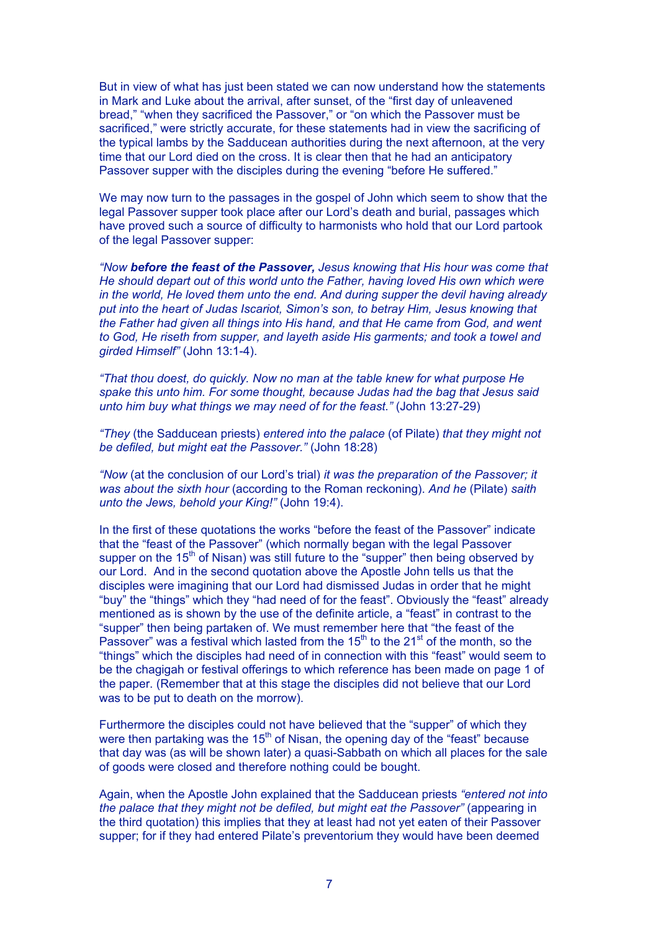But in view of what has just been stated we can now understand how the statements in Mark and Luke about the arrival, after sunset, of the "first day of unleavened bread," "when they sacrificed the Passover," or "on which the Passover must be sacrificed," were strictly accurate, for these statements had in view the sacrificing of the typical lambs by the Sadducean authorities during the next afternoon, at the very time that our Lord died on the cross. It is clear then that he had an anticipatory Passover supper with the disciples during the evening "before He suffered."

We may now turn to the passages in the gospel of John which seem to show that the legal Passover supper took place after our Lord's death and burial, passages which have proved such a source of difficulty to harmonists who hold that our Lord partook of the legal Passover supper:

*"Now before the feast of the Passover, Jesus knowing that His hour was come that He should depart out of this world unto the Father, having loved His own which were in the world, He loved them unto the end. And during supper the devil having already put into the heart of Judas Iscariot, Simon's son, to betray Him, Jesus knowing that the Father had given all things into His hand, and that He came from God, and went to God, He riseth from supper, and layeth aside His garments; and took a towel and girded Himself"* (John 13:1-4).

*"That thou doest, do quickly. Now no man at the table knew for what purpose He spake this unto him. For some thought, because Judas had the bag that Jesus said unto him buy what things we may need of for the feast."* (John 13:27-29)

*"They* (the Sadducean priests) *entered into the palace* (of Pilate) *that they might not be defiled, but might eat the Passover."* (John 18:28)

*"Now* (at the conclusion of our Lord's trial) *it was the preparation of the Passover; it was about the sixth hour* (according to the Roman reckoning). *And he* (Pilate) *saith unto the Jews, behold your King!"* (John 19:4).

In the first of these quotations the works "before the feast of the Passover" indicate that the "feast of the Passover" (which normally began with the legal Passover supper on the 15<sup>th</sup> of Nisan) was still future to the "supper" then being observed by our Lord. And in the second quotation above the Apostle John tells us that the disciples were imagining that our Lord had dismissed Judas in order that he might "buy" the "things" which they "had need of for the feast". Obviously the "feast" already mentioned as is shown by the use of the definite article, a "feast" in contrast to the "supper" then being partaken of. We must remember here that "the feast of the Passover" was a festival which lasted from the  $15<sup>th</sup>$  to the  $21<sup>st</sup>$  of the month, so the "things" which the disciples had need of in connection with this "feast" would seem to be the chagigah or festival offerings to which reference has been made on page 1 of the paper. (Remember that at this stage the disciples did not believe that our Lord was to be put to death on the morrow).

Furthermore the disciples could not have believed that the "supper" of which they were then partaking was the  $15<sup>th</sup>$  of Nisan, the opening day of the "feast" because that day was (as will be shown later) a quasi-Sabbath on which all places for the sale of goods were closed and therefore nothing could be bought.

Again, when the Apostle John explained that the Sadducean priests *"entered not into the palace that they might not be defiled, but might eat the Passover"* (appearing in the third quotation) this implies that they at least had not yet eaten of their Passover supper; for if they had entered Pilate's preventorium they would have been deemed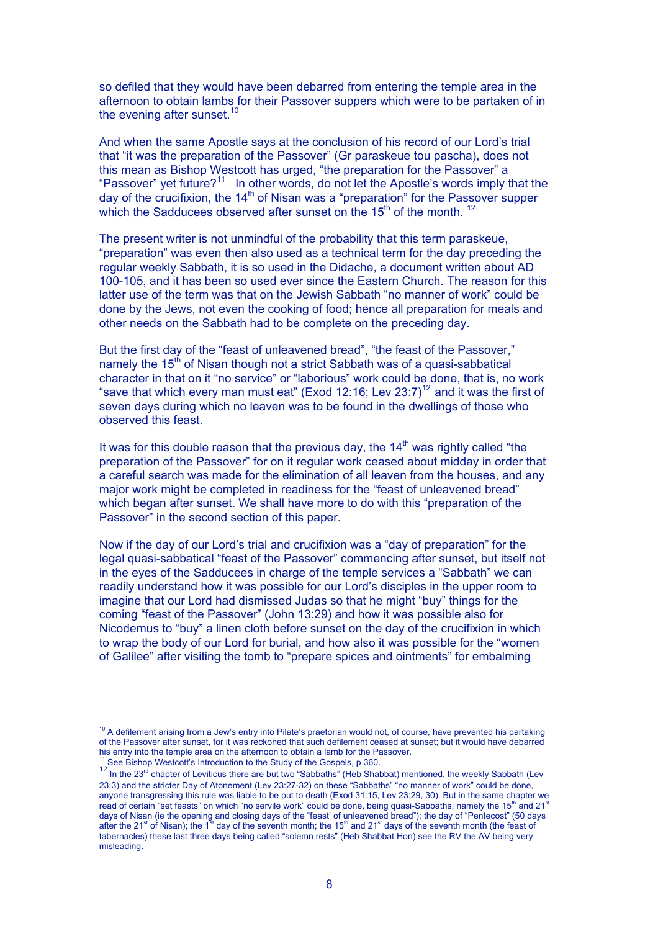so defiled that they would have been debarred from entering the temple area in the afternoon to obtain lambs for their Passover suppers which were to be partaken of in the evening after sunset. $10$ 

And when the same Apostle says at the conclusion of his record of our Lord's trial that "it was the preparation of the Passover" (Gr paraskeue tou pascha), does not this mean as Bishop Westcott has urged, "the preparation for the Passover" a "Passover" yet future?<sup>11</sup> In other words, do not let the Apostle's words imply that the day of the crucifixion, the 14<sup>th</sup> of Nisan was a "preparation" for the Passover supper which the Sadducees observed after sunset on the  $15<sup>th</sup>$  of the month. <sup>12</sup>

The present writer is not unmindful of the probability that this term paraskeue, "preparation" was even then also used as a technical term for the day preceding the regular weekly Sabbath, it is so used in the Didache, a document written about AD 100-105, and it has been so used ever since the Eastern Church. The reason for this latter use of the term was that on the Jewish Sabbath "no manner of work" could be done by the Jews, not even the cooking of food; hence all preparation for meals and other needs on the Sabbath had to be complete on the preceding day.

But the first day of the "feast of unleavened bread", "the feast of the Passover," namely the  $15<sup>th</sup>$  of Nisan though not a strict Sabbath was of a quasi-sabbatical character in that on it "no service" or "laborious" work could be done, that is, no work "save that which every man must eat" (Exod 12:16; Lev  $23:7$ )<sup>12</sup> and it was the first of seven days during which no leaven was to be found in the dwellings of those who observed this feast.

It was for this double reason that the previous day, the  $14<sup>th</sup>$  was rightly called "the preparation of the Passover" for on it regular work ceased about midday in order that a careful search was made for the elimination of all leaven from the houses, and any major work might be completed in readiness for the "feast of unleavened bread" which began after sunset. We shall have more to do with this "preparation of the Passover" in the second section of this paper.

Now if the day of our Lord's trial and crucifixion was a "day of preparation" for the legal quasi-sabbatical "feast of the Passover" commencing after sunset, but itself not in the eyes of the Sadducees in charge of the temple services a "Sabbath" we can readily understand how it was possible for our Lord's disciples in the upper room to imagine that our Lord had dismissed Judas so that he might "buy" things for the coming "feast of the Passover" (John 13:29) and how it was possible also for Nicodemus to "buy" a linen cloth before sunset on the day of the crucifixion in which to wrap the body of our Lord for burial, and how also it was possible for the "women of Galilee" after visiting the tomb to "prepare spices and ointments" for embalming

<sup>10&</sup>lt;br>
<sup>10</sup> A defilement arising from a Jew's entry into Pilate's praetorian would not, of course, have prevented his partaking of the Passover after sunset, for it was reckoned that such defilement ceased at sunset; but it would have debarred his entry into the temple area on the afternoon to obtain a lamb for the Passover.

<sup>11</sup> See Bishop Westcott's Introduction to the Study of the Gospels, p 360.

<sup>&</sup>lt;sup>12</sup> In the 23<sup>rd</sup> chapter of Leviticus there are but two "Sabbaths" (Heb Shabbat) mentioned, the weekly Sabbath (Lev 23:3) and the stricter Day of Atonement (Lev 23:27-32) on these "Sabbaths" "no manner of work" could be done, anyone transgressing this rule was liable to be put to death (Exod 31:15, Lev 23:29, 30). But in the same chapter we read of certain "set feasts" on which "no servile work" could be done, being quasi-Sabbaths, namely the 15th and 21st days of Nisan (ie the opening and closing days of the "feast' of unleavened bread"); the day of "Pentecost" (50 days<br>after the 21<sup>st</sup> of Nisan); the 1<sup>st</sup> day of the seventh month; the 15<sup>th</sup> and 21<sup>st</sup> days of the seventh tabernacles) these last three days being called "solemn rests" (Heb Shabbat Hon) see the RV the AV being very misleading.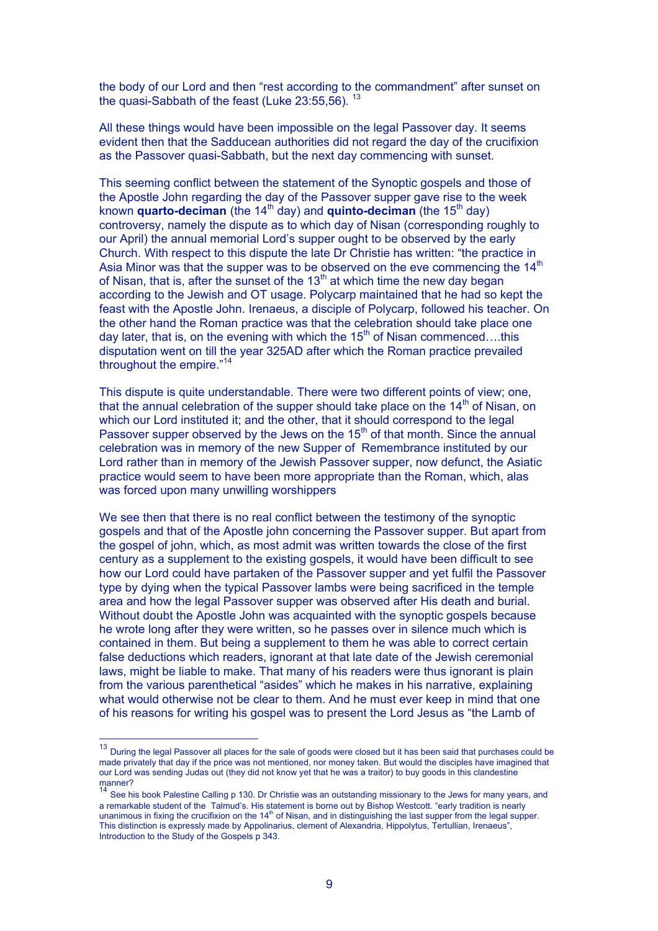the body of our Lord and then "rest according to the commandment" after sunset on the quasi-Sabbath of the feast (Luke  $23:55,56$ ).  $13$ 

All these things would have been impossible on the legal Passover day. It seems evident then that the Sadducean authorities did not regard the day of the crucifixion as the Passover quasi-Sabbath, but the next day commencing with sunset.

This seeming conflict between the statement of the Synoptic gospels and those of the Apostle John regarding the day of the Passover supper gave rise to the week known **quarto-deciman** (the 14<sup>th</sup> day) and **quinto-deciman** (the 15<sup>th</sup> day) controversy, namely the dispute as to which day of Nisan (corresponding roughly to our April) the annual memorial Lord's supper ought to be observed by the early Church. With respect to this dispute the late Dr Christie has written: "the practice in Asia Minor was that the supper was to be observed on the eve commencing the  $14<sup>th</sup>$ of Nisan, that is, after the sunset of the  $13<sup>th</sup>$  at which time the new day began according to the Jewish and OT usage. Polycarp maintained that he had so kept the feast with the Apostle John. Irenaeus, a disciple of Polycarp, followed his teacher. On the other hand the Roman practice was that the celebration should take place one day later, that is, on the evening with which the  $15<sup>th</sup>$  of Nisan commenced....this disputation went on till the year 325AD after which the Roman practice prevailed throughout the empire."<sup>14</sup>

This dispute is quite understandable. There were two different points of view; one, that the annual celebration of the supper should take place on the  $14<sup>th</sup>$  of Nisan, on which our Lord instituted it; and the other, that it should correspond to the legal Passover supper observed by the Jews on the 15<sup>th</sup> of that month. Since the annual celebration was in memory of the new Supper of Remembrance instituted by our Lord rather than in memory of the Jewish Passover supper, now defunct, the Asiatic practice would seem to have been more appropriate than the Roman, which, alas was forced upon many unwilling worshippers

We see then that there is no real conflict between the testimony of the synoptic gospels and that of the Apostle john concerning the Passover supper. But apart from the gospel of john, which, as most admit was written towards the close of the first century as a supplement to the existing gospels, it would have been difficult to see how our Lord could have partaken of the Passover supper and yet fulfil the Passover type by dying when the typical Passover lambs were being sacrificed in the temple area and how the legal Passover supper was observed after His death and burial. Without doubt the Apostle John was acquainted with the synoptic gospels because he wrote long after they were written, so he passes over in silence much which is contained in them. But being a supplement to them he was able to correct certain false deductions which readers, ignorant at that late date of the Jewish ceremonial laws, might be liable to make. That many of his readers were thus ignorant is plain from the various parenthetical "asides" which he makes in his narrative, explaining what would otherwise not be clear to them. And he must ever keep in mind that one of his reasons for writing his gospel was to present the Lord Jesus as "the Lamb of

 $13$  During the legal Passover all places for the sale of goods were closed but it has been said that purchases could be made privately that day if the price was not mentioned, nor money taken. But would the disciples have imagined that our Lord was sending Judas out (they did not know yet that he was a traitor) to buy goods in this clandestine

manner?<br><sup>14</sup> See his book Palestine Calling p 130. Dr Christie was an outstanding missionary to the Jews for many years, and a remarkable student of the Talmud's. His statement is borne out by Bishop Westcott. "early tradition is nearly unanimous in fixing the crucifixion on the  $14<sup>th</sup>$  of Nisan, and in distinguishing the last supper from the legal supper. This distinction is expressly made by Appolinarius, clement of Alexandria, Hippolytus, Tertullian, Irenaeus", Introduction to the Study of the Gospels p 343.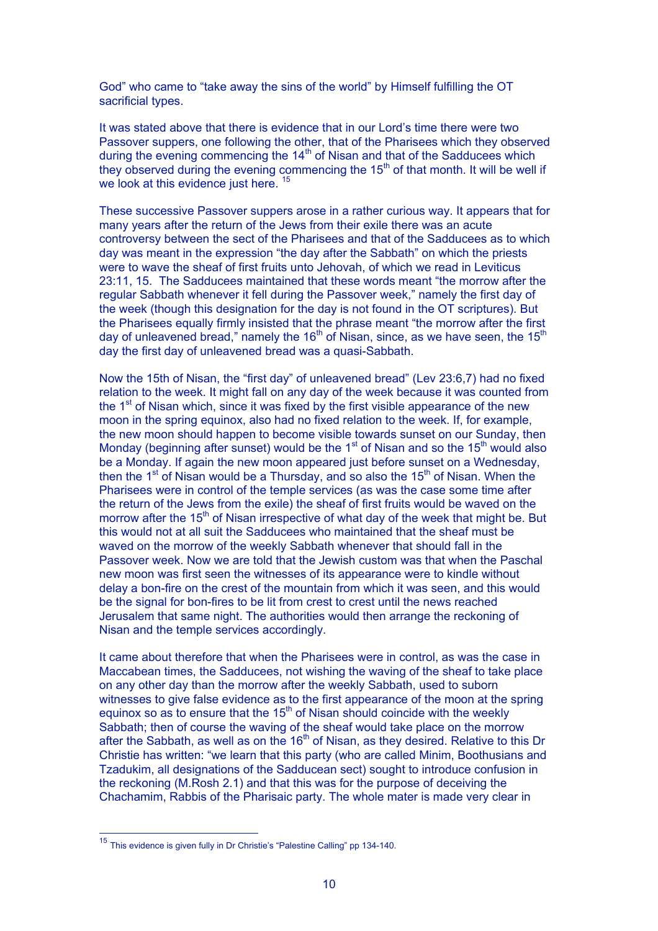God" who came to "take away the sins of the world" by Himself fulfilling the OT sacrificial types.

It was stated above that there is evidence that in our Lord's time there were two Passover suppers, one following the other, that of the Pharisees which they observed during the evening commencing the 14<sup>th</sup> of Nisan and that of the Sadducees which they observed during the evening commencing the  $15<sup>th</sup>$  of that month. It will be well if we look at this evidence just here.<sup>15</sup>

These successive Passover suppers arose in a rather curious way. It appears that for many years after the return of the Jews from their exile there was an acute controversy between the sect of the Pharisees and that of the Sadducees as to which day was meant in the expression "the day after the Sabbath" on which the priests were to wave the sheaf of first fruits unto Jehovah, of which we read in Leviticus 23:11, 15. The Sadducees maintained that these words meant "the morrow after the regular Sabbath whenever it fell during the Passover week," namely the first day of the week (though this designation for the day is not found in the OT scriptures). But the Pharisees equally firmly insisted that the phrase meant "the morrow after the first day of unleavened bread," namely the  $16<sup>th</sup>$  of Nisan, since, as we have seen, the  $15<sup>th</sup>$ day the first day of unleavened bread was a quasi-Sabbath.

Now the 15th of Nisan, the "first day" of unleavened bread" (Lev 23:6,7) had no fixed relation to the week. It might fall on any day of the week because it was counted from the  $1<sup>st</sup>$  of Nisan which, since it was fixed by the first visible appearance of the new moon in the spring equinox, also had no fixed relation to the week. If, for example, the new moon should happen to become visible towards sunset on our Sunday, then Monday (beginning after sunset) would be the  $1<sup>st</sup>$  of Nisan and so the  $15<sup>th</sup>$  would also be a Monday. If again the new moon appeared just before sunset on a Wednesday, then the 1<sup>st</sup> of Nisan would be a Thursday, and so also the 15<sup>th</sup> of Nisan. When the Pharisees were in control of the temple services (as was the case some time after the return of the Jews from the exile) the sheaf of first fruits would be waved on the morrow after the 15<sup>th</sup> of Nisan irrespective of what day of the week that might be. But this would not at all suit the Sadducees who maintained that the sheaf must be waved on the morrow of the weekly Sabbath whenever that should fall in the Passover week. Now we are told that the Jewish custom was that when the Paschal new moon was first seen the witnesses of its appearance were to kindle without delay a bon-fire on the crest of the mountain from which it was seen, and this would be the signal for bon-fires to be lit from crest to crest until the news reached Jerusalem that same night. The authorities would then arrange the reckoning of Nisan and the temple services accordingly.

It came about therefore that when the Pharisees were in control, as was the case in Maccabean times, the Sadducees, not wishing the waving of the sheaf to take place on any other day than the morrow after the weekly Sabbath, used to suborn witnesses to give false evidence as to the first appearance of the moon at the spring equinox so as to ensure that the  $15<sup>th</sup>$  of Nisan should coincide with the weekly Sabbath; then of course the waving of the sheaf would take place on the morrow after the Sabbath, as well as on the  $16<sup>th</sup>$  of Nisan, as they desired. Relative to this Dr Christie has written: "we learn that this party (who are called Minim, Boothusians and Tzadukim, all designations of the Sadducean sect) sought to introduce confusion in the reckoning (M.Rosh 2.1) and that this was for the purpose of deceiving the Chachamim, Rabbis of the Pharisaic party. The whole mater is made very clear in

 $15$  This evidence is given fully in Dr Christie's "Palestine Calling" pp 134-140.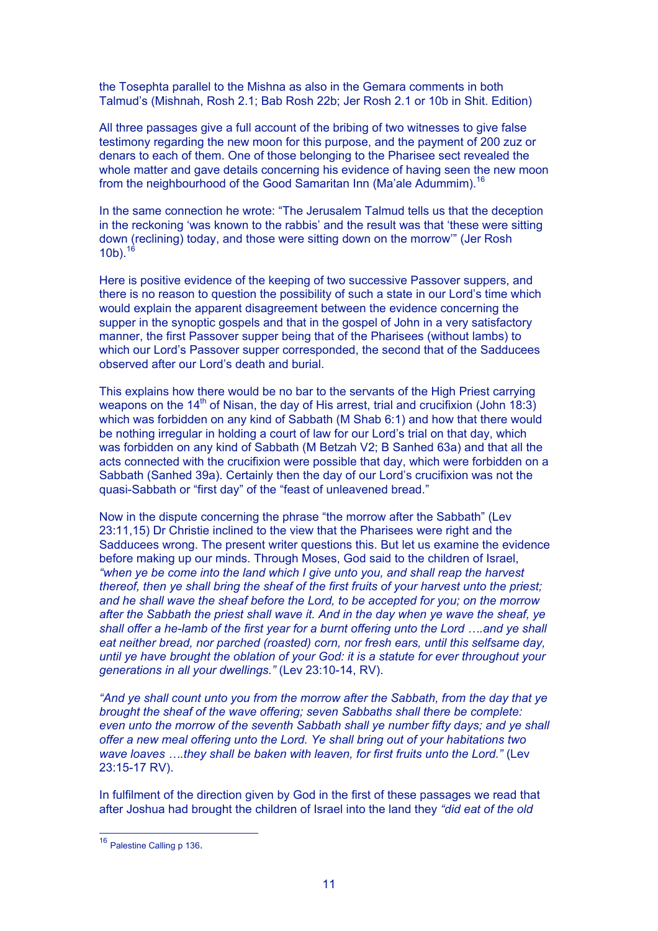the Tosephta parallel to the Mishna as also in the Gemara comments in both Talmud's (Mishnah, Rosh 2.1; Bab Rosh 22b; Jer Rosh 2.1 or 10b in Shit. Edition)

All three passages give a full account of the bribing of two witnesses to give false testimony regarding the new moon for this purpose, and the payment of 200 zuz or denars to each of them. One of those belonging to the Pharisee sect revealed the whole matter and gave details concerning his evidence of having seen the new moon from the neighbourhood of the Good Samaritan Inn (Ma'ale Adummim).<sup>16</sup>

In the same connection he wrote: "The Jerusalem Talmud tells us that the deception in the reckoning 'was known to the rabbis' and the result was that 'these were sitting down (reclining) today, and those were sitting down on the morrow'" (Jer Rosh  $10<sup>b</sup>$ .  $1<sup>6</sup>$ 

Here is positive evidence of the keeping of two successive Passover suppers, and there is no reason to question the possibility of such a state in our Lord's time which would explain the apparent disagreement between the evidence concerning the supper in the synoptic gospels and that in the gospel of John in a very satisfactory manner, the first Passover supper being that of the Pharisees (without lambs) to which our Lord's Passover supper corresponded, the second that of the Sadducees observed after our Lord's death and burial.

This explains how there would be no bar to the servants of the High Priest carrying weapons on the  $14<sup>th</sup>$  of Nisan, the day of His arrest, trial and crucifixion (John 18:3) which was forbidden on any kind of Sabbath (M Shab 6:1) and how that there would be nothing irregular in holding a court of law for our Lord's trial on that day, which was forbidden on any kind of Sabbath (M Betzah V2; B Sanhed 63a) and that all the acts connected with the crucifixion were possible that day, which were forbidden on a Sabbath (Sanhed 39a). Certainly then the day of our Lord's crucifixion was not the quasi-Sabbath or "first day" of the "feast of unleavened bread."

Now in the dispute concerning the phrase "the morrow after the Sabbath" (Lev 23:11,15) Dr Christie inclined to the view that the Pharisees were right and the Sadducees wrong. The present writer questions this. But let us examine the evidence before making up our minds. Through Moses, God said to the children of Israel, *"when ye be come into the land which I give unto you, and shall reap the harvest thereof, then ye shall bring the sheaf of the first fruits of your harvest unto the priest; and he shall wave the sheaf before the Lord, to be accepted for you; on the morrow after the Sabbath the priest shall wave it. And in the day when ye wave the sheaf, ye shall offer a he-lamb of the first year for a burnt offering unto the Lord ….and ye shall eat neither bread, nor parched (roasted) corn, nor fresh ears, until this selfsame day, until ye have brought the oblation of your God: it is a statute for ever throughout your generations in all your dwellings."* (Lev 23:10-14, RV).

*"And ye shall count unto you from the morrow after the Sabbath, from the day that ye brought the sheaf of the wave offering; seven Sabbaths shall there be complete: even unto the morrow of the seventh Sabbath shall ye number fifty days; and ye shall offer a new meal offering unto the Lord. Ye shall bring out of your habitations two wave loaves ….they shall be baken with leaven, for first fruits unto the Lord."* (Lev 23:15-17 RV).

In fulfilment of the direction given by God in the first of these passages we read that after Joshua had brought the children of Israel into the land they *"did eat of the old*

 <sup>16</sup> Palestine Calling p 136.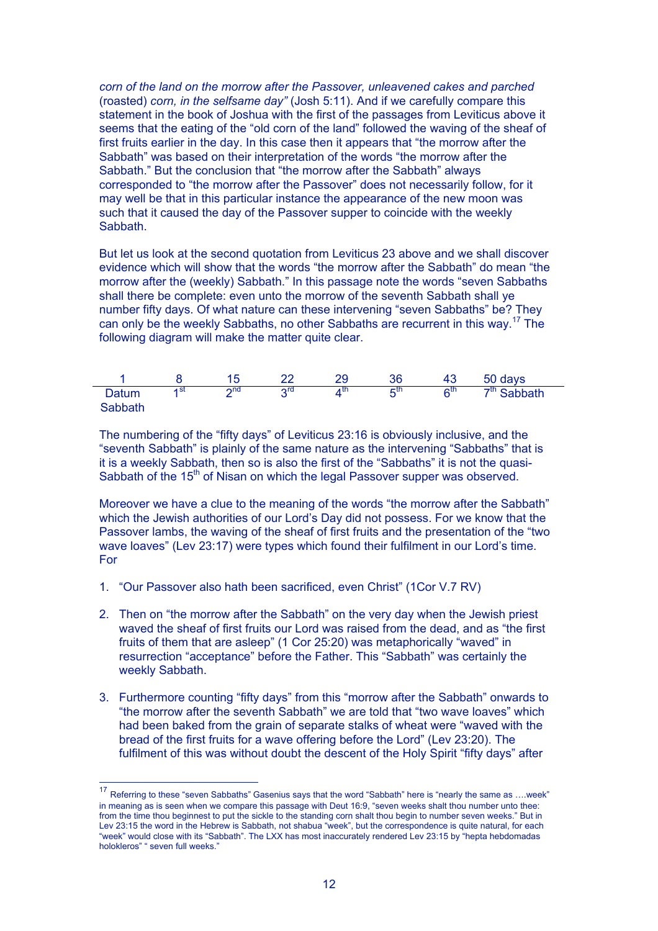*corn of the land on the morrow after the Passover, unleavened cakes and parched* (roasted) *corn, in the selfsame day"* (Josh 5:11). And if we carefully compare this statement in the book of Joshua with the first of the passages from Leviticus above it seems that the eating of the "old corn of the land" followed the waving of the sheaf of first fruits earlier in the day. In this case then it appears that "the morrow after the Sabbath" was based on their interpretation of the words "the morrow after the Sabbath." But the conclusion that "the morrow after the Sabbath" always corresponded to "the morrow after the Passover" does not necessarily follow, for it may well be that in this particular instance the appearance of the new moon was such that it caused the day of the Passover supper to coincide with the weekly Sabbath.

But let us look at the second quotation from Leviticus 23 above and we shall discover evidence which will show that the words "the morrow after the Sabbath" do mean "the morrow after the (weekly) Sabbath." In this passage note the words "seven Sabbaths shall there be complete: even unto the morrow of the seventh Sabbath shall ye number fifty days. Of what nature can these intervening "seven Sabbaths" be? They can only be the weekly Sabbaths, no other Sabbaths are recurrent in this way.<sup>17</sup> The following diagram will make the matter quite clear.

|                  |      |             |     |    |      |    | 50 days       |
|------------------|------|-------------|-----|----|------|----|---------------|
| Datum<br>Sabbath | ⊿ St | $\Omega$ nd | ora | иu | r⊏th | ໑™ | $7th$ Sabbath |

The numbering of the "fifty days" of Leviticus 23:16 is obviously inclusive, and the "seventh Sabbath" is plainly of the same nature as the intervening "Sabbaths" that is it is a weekly Sabbath, then so is also the first of the "Sabbaths" it is not the quasi-Sabbath of the 15<sup>th</sup> of Nisan on which the legal Passover supper was observed.

Moreover we have a clue to the meaning of the words "the morrow after the Sabbath" which the Jewish authorities of our Lord's Day did not possess. For we know that the Passover lambs, the waving of the sheaf of first fruits and the presentation of the "two wave loaves" (Lev 23:17) were types which found their fulfilment in our Lord's time. For

- 1. "Our Passover also hath been sacrificed, even Christ" (1Cor V.7 RV)
- 2. Then on "the morrow after the Sabbath" on the very day when the Jewish priest waved the sheaf of first fruits our Lord was raised from the dead, and as "the first fruits of them that are asleep" (1 Cor 25:20) was metaphorically "waved" in resurrection "acceptance" before the Father. This "Sabbath" was certainly the weekly Sabbath.
- 3. Furthermore counting "fifty days" from this "morrow after the Sabbath" onwards to "the morrow after the seventh Sabbath" we are told that "two wave loaves" which had been baked from the grain of separate stalks of wheat were "waved with the bread of the first fruits for a wave offering before the Lord" (Lev 23:20). The fulfilment of this was without doubt the descent of the Holy Spirit "fifty days" after

 <sup>17</sup> Referring to these "seven Sabbaths" Gasenius says that the word "Sabbath" here is "nearly the same as ….week" in meaning as is seen when we compare this passage with Deut 16:9, "seven weeks shalt thou number unto thee: from the time thou beginnest to put the sickle to the standing corn shalt thou begin to number seven weeks." But in Lev 23:15 the word in the Hebrew is Sabbath, not shabua "week", but the correspondence is quite natural, for each "week" would close with its "Sabbath". The LXX has most inaccurately rendered Lev 23:15 by "hepta hebdomadas holokleros" " seven full weeks."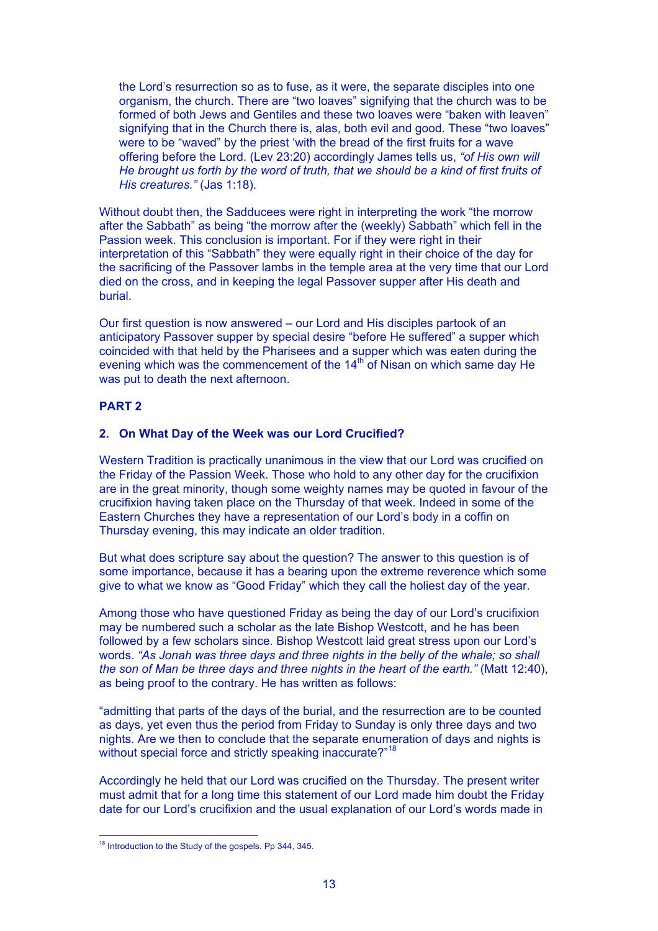the Lord's resurrection so as to fuse, as it were, the separate disciples into one organism, the church. There are "two loaves" signifying that the church was to be formed of both Jews and Gentiles and these two loaves were "baken with leaven" signifying that in the Church there is, alas, both evil and good. These "two loaves" were to be "waved" by the priest 'with the bread of the first fruits for a wave offering before the Lord. (Lev 23:20) accordingly James tells us, *"of His own will He brought us forth by the word of truth, that we should be a kind of first fruits of His creatures."* (Jas 1:18).

Without doubt then, the Sadducees were right in interpreting the work "the morrow after the Sabbath" as being "the morrow after the (weekly) Sabbath" which fell in the Passion week. This conclusion is important. For if they were right in their interpretation of this "Sabbath" they were equally right in their choice of the day for the sacrificing of the Passover lambs in the temple area at the very time that our Lord died on the cross, and in keeping the legal Passover supper after His death and burial.

Our first question is now answered – our Lord and His disciples partook of an anticipatory Passover supper by special desire "before He suffered" a supper which coincided with that held by the Pharisees and a supper which was eaten during the evening which was the commencement of the 14<sup>th</sup> of Nisan on which same day He was put to death the next afternoon.

## **PART 2**

### **2. On What Day of the Week was our Lord Crucified?**

Western Tradition is practically unanimous in the view that our Lord was crucified on the Friday of the Passion Week. Those who hold to any other day for the crucifixion are in the great minority, though some weighty names may be quoted in favour of the crucifixion having taken place on the Thursday of that week. Indeed in some of the Eastern Churches they have a representation of our Lord's body in a coffin on Thursday evening, this may indicate an older tradition.

But what does scripture say about the question? The answer to this question is of some importance, because it has a bearing upon the extreme reverence which some give to what we know as "Good Friday" which they call the holiest day of the year.

Among those who have questioned Friday as being the day of our Lord's crucifixion may be numbered such a scholar as the late Bishop Westcott, and he has been followed by a few scholars since. Bishop Westcott laid great stress upon our Lord's words. *"As Jonah was three days and three nights in the belly of the whale; so shall the son of Man be three days and three nights in the heart of the earth."* (Matt 12:40), as being proof to the contrary. He has written as follows:

"admitting that parts of the days of the burial, and the resurrection are to be counted as days, yet even thus the period from Friday to Sunday is only three days and two nights. Are we then to conclude that the separate enumeration of days and nights is without special force and strictly speaking inaccurate?"<sup>18</sup>

Accordingly he held that our Lord was crucified on the Thursday. The present writer must admit that for a long time this statement of our Lord made him doubt the Friday date for our Lord's crucifixion and the usual explanation of our Lord's words made in

 <sup>18</sup> Introduction to the Study of the gospels. Pp 344, 345.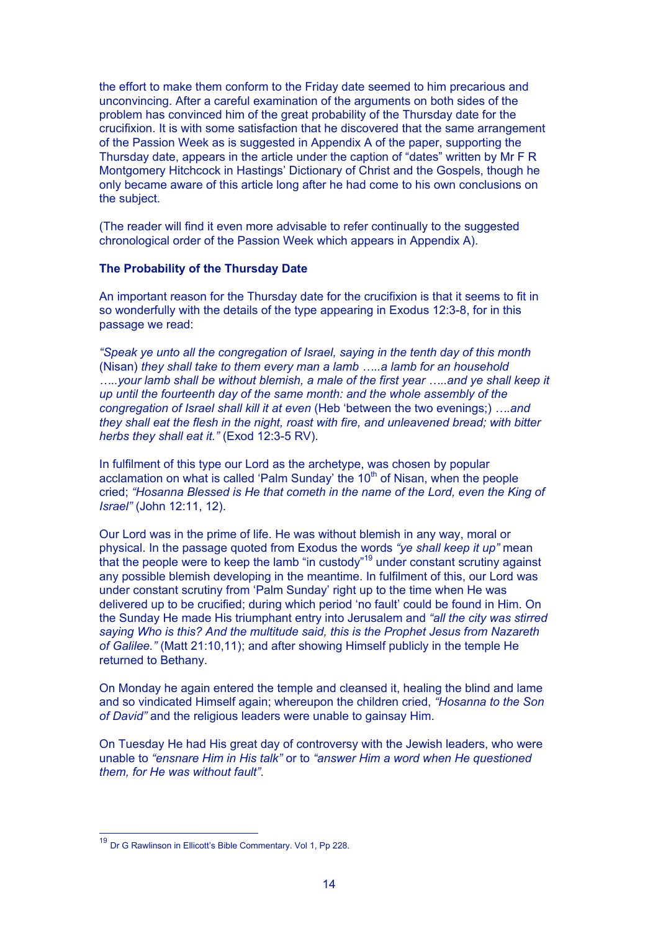the effort to make them conform to the Friday date seemed to him precarious and unconvincing. After a careful examination of the arguments on both sides of the problem has convinced him of the great probability of the Thursday date for the crucifixion. It is with some satisfaction that he discovered that the same arrangement of the Passion Week as is suggested in Appendix A of the paper, supporting the Thursday date, appears in the article under the caption of "dates" written by Mr F R Montgomery Hitchcock in Hastings' Dictionary of Christ and the Gospels, though he only became aware of this article long after he had come to his own conclusions on the subject.

(The reader will find it even more advisable to refer continually to the suggested chronological order of the Passion Week which appears in Appendix A).

#### **The Probability of the Thursday Date**

An important reason for the Thursday date for the crucifixion is that it seems to fit in so wonderfully with the details of the type appearing in Exodus 12:3-8, for in this passage we read:

*"Speak ye unto all the congregation of Israel, saying in the tenth day of this month* (Nisan) *they shall take to them every man a lamb …..a lamb for an household …..your lamb shall be without blemish, a male of the first year …..and ye shall keep it up until the fourteenth day of the same month: and the whole assembly of the congregation of Israel shall kill it at even* (Heb 'between the two evenings;) *….and they shall eat the flesh in the night, roast with fire, and unleavened bread; with bitter herbs they shall eat it."* (Exod 12:3-5 RV).

In fulfilment of this type our Lord as the archetype, was chosen by popular acclamation on what is called 'Palm Sunday' the 10<sup>th</sup> of Nisan, when the people cried; *"Hosanna Blessed is He that cometh in the name of the Lord, even the King of Israel"* (John 12:11, 12).

Our Lord was in the prime of life. He was without blemish in any way, moral or physical. In the passage quoted from Exodus the words *"ye shall keep it up"* mean that the people were to keep the lamb "in custody"<sup>19</sup> under constant scrutiny against any possible blemish developing in the meantime. In fulfilment of this, our Lord was under constant scrutiny from 'Palm Sunday' right up to the time when He was delivered up to be crucified; during which period 'no fault' could be found in Him. On the Sunday He made His triumphant entry into Jerusalem and *"all the city was stirred saying Who is this? And the multitude said, this is the Prophet Jesus from Nazareth of Galilee."* (Matt 21:10,11); and after showing Himself publicly in the temple He returned to Bethany.

On Monday he again entered the temple and cleansed it, healing the blind and lame and so vindicated Himself again; whereupon the children cried, *"Hosanna to the Son of David"* and the religious leaders were unable to gainsay Him.

On Tuesday He had His great day of controversy with the Jewish leaders, who were unable to *"ensnare Him in His talk"* or to *"answer Him a word when He questioned them, for He was without fault"*.

 <sup>19</sup> Dr G Rawlinson in Ellicott's Bible Commentary. Vol 1, Pp 228.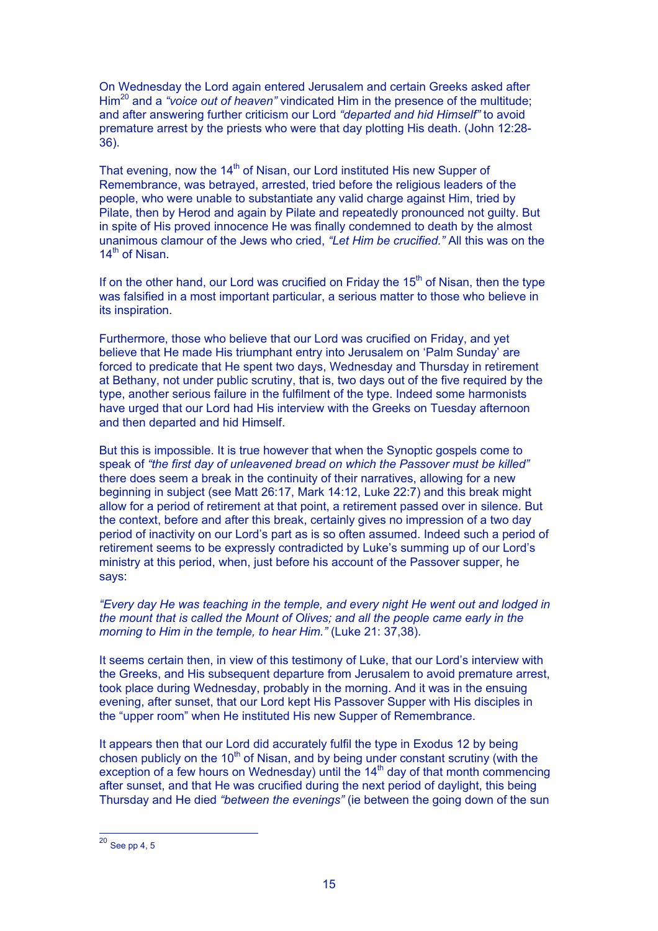On Wednesday the Lord again entered Jerusalem and certain Greeks asked after Him<sup>20</sup> and a "voice out of heaven" vindicated Him in the presence of the multitude; and after answering further criticism our Lord *"departed and hid Himself"* to avoid premature arrest by the priests who were that day plotting His death. (John 12:28- 36).

That evening, now the 14<sup>th</sup> of Nisan, our Lord instituted His new Supper of Remembrance, was betrayed, arrested, tried before the religious leaders of the people, who were unable to substantiate any valid charge against Him, tried by Pilate, then by Herod and again by Pilate and repeatedly pronounced not guilty. But in spite of His proved innocence He was finally condemned to death by the almost unanimous clamour of the Jews who cried, *"Let Him be crucified."* All this was on the 14<sup>th</sup> of Nisan.

If on the other hand, our Lord was crucified on Friday the  $15<sup>th</sup>$  of Nisan, then the type was falsified in a most important particular, a serious matter to those who believe in its inspiration.

Furthermore, those who believe that our Lord was crucified on Friday, and yet believe that He made His triumphant entry into Jerusalem on 'Palm Sunday' are forced to predicate that He spent two days, Wednesday and Thursday in retirement at Bethany, not under public scrutiny, that is, two days out of the five required by the type, another serious failure in the fulfilment of the type. Indeed some harmonists have urged that our Lord had His interview with the Greeks on Tuesday afternoon and then departed and hid Himself.

But this is impossible. It is true however that when the Synoptic gospels come to speak of *"the first day of unleavened bread on which the Passover must be killed"* there does seem a break in the continuity of their narratives, allowing for a new beginning in subject (see Matt 26:17, Mark 14:12, Luke 22:7) and this break might allow for a period of retirement at that point, a retirement passed over in silence. But the context, before and after this break, certainly gives no impression of a two day period of inactivity on our Lord's part as is so often assumed. Indeed such a period of retirement seems to be expressly contradicted by Luke's summing up of our Lord's ministry at this period, when, just before his account of the Passover supper, he says:

*"Every day He was teaching in the temple, and every night He went out and lodged in the mount that is called the Mount of Olives; and all the people came early in the morning to Him in the temple, to hear Him."* (Luke 21: 37,38).

It seems certain then, in view of this testimony of Luke, that our Lord's interview with the Greeks, and His subsequent departure from Jerusalem to avoid premature arrest, took place during Wednesday, probably in the morning. And it was in the ensuing evening, after sunset, that our Lord kept His Passover Supper with His disciples in the "upper room" when He instituted His new Supper of Remembrance.

It appears then that our Lord did accurately fulfil the type in Exodus 12 by being chosen publicly on the  $10<sup>th</sup>$  of Nisan, and by being under constant scrutiny (with the exception of a few hours on Wednesday) until the  $14<sup>th</sup>$  day of that month commencing after sunset, and that He was crucified during the next period of daylight, this being Thursday and He died *"between the evenings"* (ie between the going down of the sun

 $20$  See pp 4, 5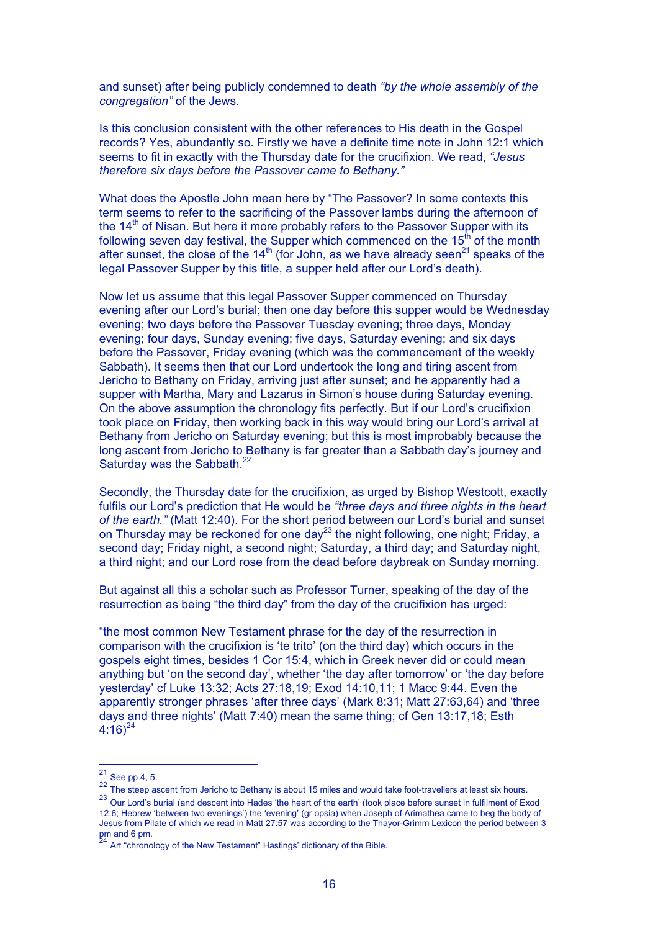and sunset) after being publicly condemned to death *"by the whole assembly of the congregation"* of the Jews.

Is this conclusion consistent with the other references to His death in the Gospel records? Yes, abundantly so. Firstly we have a definite time note in John 12:1 which seems to fit in exactly with the Thursday date for the crucifixion. We read, *"Jesus therefore six days before the Passover came to Bethany."*

What does the Apostle John mean here by "The Passover? In some contexts this term seems to refer to the sacrificing of the Passover lambs during the afternoon of the  $14<sup>th</sup>$  of Nisan. But here it more probably refers to the Passover Supper with its following seven day festival, the Supper which commenced on the  $15<sup>th</sup>$  of the month after sunset, the close of the 14<sup>th</sup> (for John, as we have already seen<sup>21</sup> speaks of the legal Passover Supper by this title, a supper held after our Lord's death).

Now let us assume that this legal Passover Supper commenced on Thursday evening after our Lord's burial; then one day before this supper would be Wednesday evening; two days before the Passover Tuesday evening; three days, Monday evening; four days, Sunday evening; five days, Saturday evening; and six days before the Passover, Friday evening (which was the commencement of the weekly Sabbath). It seems then that our Lord undertook the long and tiring ascent from Jericho to Bethany on Friday, arriving just after sunset; and he apparently had a supper with Martha, Mary and Lazarus in Simon's house during Saturday evening. On the above assumption the chronology fits perfectly. But if our Lord's crucifixion took place on Friday, then working back in this way would bring our Lord's arrival at Bethany from Jericho on Saturday evening; but this is most improbably because the long ascent from Jericho to Bethany is far greater than a Sabbath day's journey and Saturday was the Sabbath.<sup>22</sup>

Secondly, the Thursday date for the crucifixion, as urged by Bishop Westcott, exactly fulfils our Lord's prediction that He would be *"three days and three nights in the heart of the earth."* (Matt 12:40). For the short period between our Lord's burial and sunset on Thursday may be reckoned for one day<sup>23</sup> the night following, one night; Friday, a second day; Friday night, a second night; Saturday, a third day; and Saturday night, a third night; and our Lord rose from the dead before daybreak on Sunday morning.

But against all this a scholar such as Professor Turner, speaking of the day of the resurrection as being "the third day" from the day of the crucifixion has urged:

"the most common New Testament phrase for the day of the resurrection in comparison with the crucifixion is 'te trito' (on the third day) which occurs in the gospels eight times, besides 1 Cor 15:4, which in Greek never did or could mean anything but 'on the second day', whether 'the day after tomorrow' or 'the day before yesterday' cf Luke 13:32; Acts 27:18,19; Exod 14:10,11; 1 Macc 9:44. Even the apparently stronger phrases 'after three days' (Mark 8:31; Matt 27:63,64) and 'three days and three nights' (Matt 7:40) mean the same thing; cf Gen 13:17,18; Esth  $4:16)^{24}$ 

 $21$  See pp 4, 5.

<sup>22</sup> The steep ascent from Jericho to Bethany is about 15 miles and would take foot-travellers at least six hours. 23 Our Lord's burial (and descent into Hades 'the heart of the earth' (took place before sunset in fulfilment of Exod 12:6; Hebrew 'between two evenings') the 'evening' (gr opsia) when Joseph of Arimathea came to beg the body of Jesus from Pilate of which we read in Matt 27:57 was according to the Thayor-Grimm Lexicon the period between 3  $\frac{1}{24}$  pm and 6 pm.

Art "chronology of the New Testament" Hastings' dictionary of the Bible.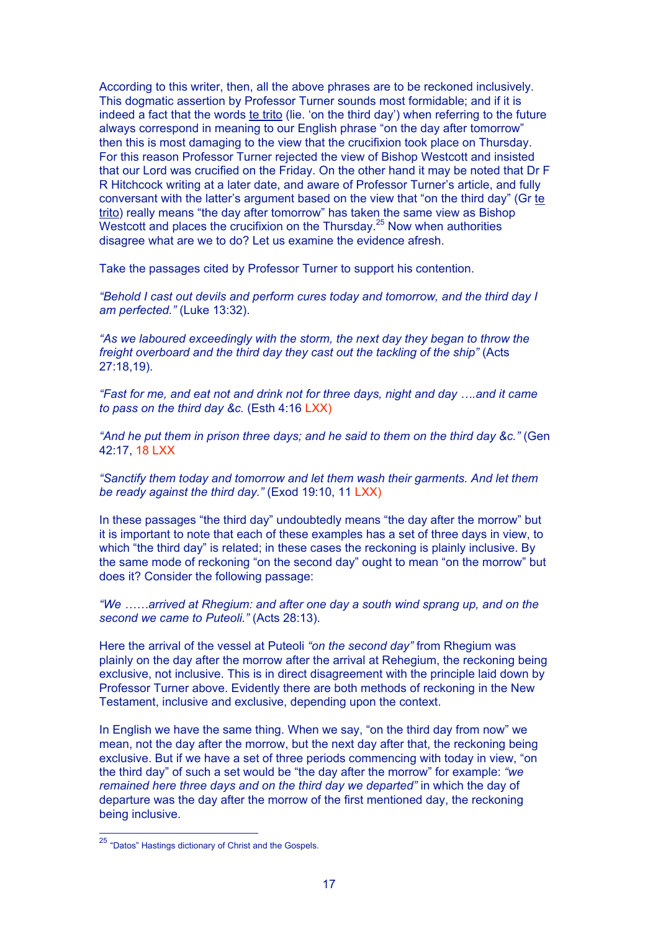According to this writer, then, all the above phrases are to be reckoned inclusively. This dogmatic assertion by Professor Turner sounds most formidable; and if it is indeed a fact that the words te trito (lie. 'on the third day') when referring to the future always correspond in meaning to our English phrase "on the day after tomorrow" then this is most damaging to the view that the crucifixion took place on Thursday. For this reason Professor Turner rejected the view of Bishop Westcott and insisted that our Lord was crucified on the Friday. On the other hand it may be noted that Dr F R Hitchcock writing at a later date, and aware of Professor Turner's article, and fully conversant with the latter's argument based on the view that "on the third day" (Gr te trito) really means "the day after tomorrow" has taken the same view as Bishop Westcott and places the crucifixion on the Thursday. $25$  Now when authorities disagree what are we to do? Let us examine the evidence afresh.

Take the passages cited by Professor Turner to support his contention.

*"Behold I cast out devils and perform cures today and tomorrow, and the third day I am perfected."* (Luke 13:32).

*"As we laboured exceedingly with the storm, the next day they began to throw the freight overboard and the third day they cast out the tackling of the ship"* (Acts 27:18,19).

*"Fast for me, and eat not and drink not for three days, night and day ….and it came to pass on the third day &c.* (Esth 4:16 LXX)

*"And he put them in prison three days; and he said to them on the third day &c."* (Gen 42:17, 18 LXX

*"Sanctify them today and tomorrow and let them wash their garments. And let them be ready against the third day."* (Exod 19:10, 11 LXX)

In these passages "the third day" undoubtedly means "the day after the morrow" but it is important to note that each of these examples has a set of three days in view, to which "the third day" is related; in these cases the reckoning is plainly inclusive. By the same mode of reckoning "on the second day" ought to mean "on the morrow" but does it? Consider the following passage:

*"We ……arrived at Rhegium: and after one day a south wind sprang up, and on the second we came to Puteoli."* (Acts 28:13).

Here the arrival of the vessel at Puteoli *"on the second day"* from Rhegium was plainly on the day after the morrow after the arrival at Rehegium, the reckoning being exclusive, not inclusive. This is in direct disagreement with the principle laid down by Professor Turner above. Evidently there are both methods of reckoning in the New Testament, inclusive and exclusive, depending upon the context.

In English we have the same thing. When we say, "on the third day from now" we mean, not the day after the morrow, but the next day after that, the reckoning being exclusive. But if we have a set of three periods commencing with today in view, "on the third day" of such a set would be "the day after the morrow" for example: *"we remained here three days and on the third day we departed"* in which the day of departure was the day after the morrow of the first mentioned day, the reckoning being inclusive.

 <sup>25</sup> "Datos" Hastings dictionary of Christ and the Gospels.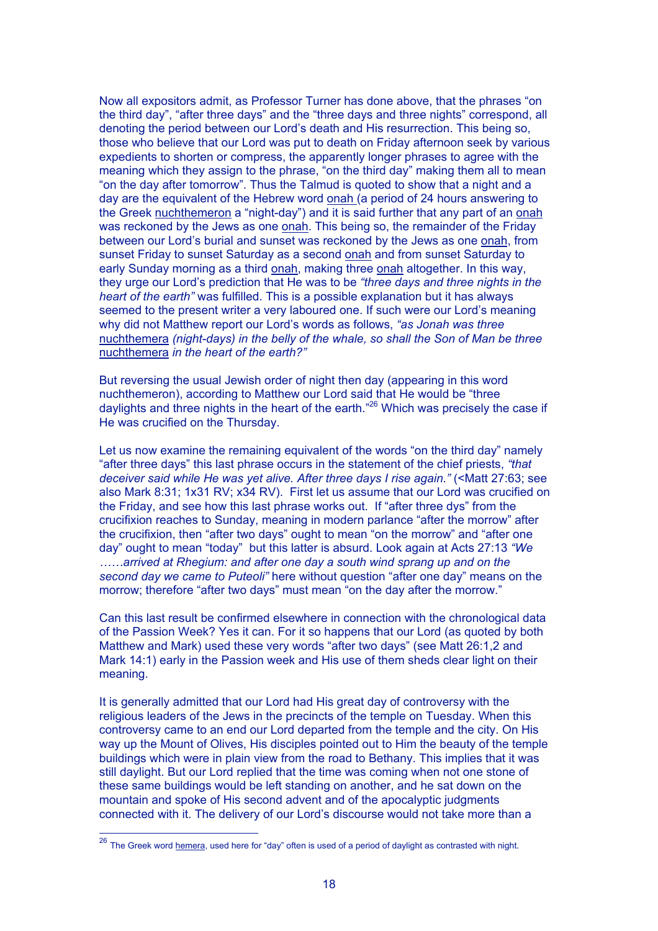Now all expositors admit, as Professor Turner has done above, that the phrases "on the third day", "after three days" and the "three days and three nights" correspond, all denoting the period between our Lord's death and His resurrection. This being so, those who believe that our Lord was put to death on Friday afternoon seek by various expedients to shorten or compress, the apparently longer phrases to agree with the meaning which they assign to the phrase, "on the third day" making them all to mean "on the day after tomorrow". Thus the Talmud is quoted to show that a night and a day are the equivalent of the Hebrew word onah (a period of 24 hours answering to the Greek nuchthemeron a "night-day") and it is said further that any part of an onah was reckoned by the Jews as one onah. This being so, the remainder of the Friday between our Lord's burial and sunset was reckoned by the Jews as one onah, from sunset Friday to sunset Saturday as a second onah and from sunset Saturday to early Sunday morning as a third onah, making three onah altogether. In this way, they urge our Lord's prediction that He was to be *"three days and three nights in the heart of the earth"* was fulfilled. This is a possible explanation but it has always seemed to the present writer a very laboured one. If such were our Lord's meaning why did not Matthew report our Lord's words as follows, *"as Jonah was three* nuchthemera *(night-days) in the belly of the whale, so shall the Son of Man be three* nuchthemera *in the heart of the earth?"*

But reversing the usual Jewish order of night then day (appearing in this word nuchthemeron), according to Matthew our Lord said that He would be "three daylights and three nights in the heart of the earth."<sup>26</sup> Which was precisely the case if He was crucified on the Thursday.

Let us now examine the remaining equivalent of the words "on the third day" namely "after three days" this last phrase occurs in the statement of the chief priests, *"that deceiver said while He was yet alive. After three days I rise again."* (<Matt 27:63; see also Mark 8:31; 1x31 RV; x34 RV). First let us assume that our Lord was crucified on the Friday, and see how this last phrase works out. If "after three dys" from the crucifixion reaches to Sunday, meaning in modern parlance "after the morrow" after the crucifixion, then "after two days" ought to mean "on the morrow" and "after one day" ought to mean "today" but this latter is absurd. Look again at Acts 27:13 *"We ……arrived at Rhegium: and after one day a south wind sprang up and on the second day we came to Puteoli"* here without question "after one day" means on the morrow; therefore "after two days" must mean "on the day after the morrow."

Can this last result be confirmed elsewhere in connection with the chronological data of the Passion Week? Yes it can. For it so happens that our Lord (as quoted by both Matthew and Mark) used these very words "after two days" (see Matt 26:1,2 and Mark 14:1) early in the Passion week and His use of them sheds clear light on their meaning.

It is generally admitted that our Lord had His great day of controversy with the religious leaders of the Jews in the precincts of the temple on Tuesday. When this controversy came to an end our Lord departed from the temple and the city. On His way up the Mount of Olives, His disciples pointed out to Him the beauty of the temple buildings which were in plain view from the road to Bethany. This implies that it was still daylight. But our Lord replied that the time was coming when not one stone of these same buildings would be left standing on another, and he sat down on the mountain and spoke of His second advent and of the apocalyptic judgments connected with it. The delivery of our Lord's discourse would not take more than a

 $^{26}$  The Greek word hemera, used here for "day" often is used of a period of daylight as contrasted with night.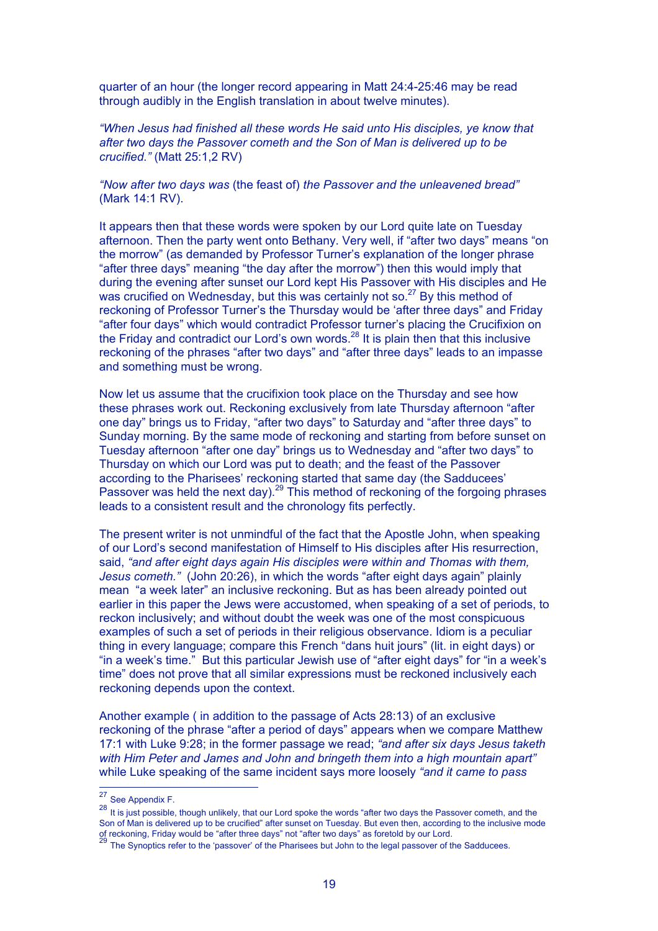quarter of an hour (the longer record appearing in Matt 24:4-25:46 may be read through audibly in the English translation in about twelve minutes).

*"When Jesus had finished all these words He said unto His disciples, ye know that after two days the Passover cometh and the Son of Man is delivered up to be crucified."* (Matt 25:1,2 RV)

*"Now after two days was* (the feast of) *the Passover and the unleavened bread"* (Mark 14:1 RV).

It appears then that these words were spoken by our Lord quite late on Tuesday afternoon. Then the party went onto Bethany. Very well, if "after two days" means "on the morrow" (as demanded by Professor Turner's explanation of the longer phrase "after three days" meaning "the day after the morrow") then this would imply that during the evening after sunset our Lord kept His Passover with His disciples and He was crucified on Wednesday, but this was certainly not so.<sup>27</sup> By this method of reckoning of Professor Turner's the Thursday would be 'after three days" and Friday "after four days" which would contradict Professor turner's placing the Crucifixion on the Friday and contradict our Lord's own words.<sup>28</sup> It is plain then that this inclusive reckoning of the phrases "after two days" and "after three days" leads to an impasse and something must be wrong.

Now let us assume that the crucifixion took place on the Thursday and see how these phrases work out. Reckoning exclusively from late Thursday afternoon "after one day" brings us to Friday, "after two days" to Saturday and "after three days" to Sunday morning. By the same mode of reckoning and starting from before sunset on Tuesday afternoon "after one day" brings us to Wednesday and "after two days" to Thursday on which our Lord was put to death; and the feast of the Passover according to the Pharisees' reckoning started that same day (the Sadducees' Passover was held the next day).<sup>29</sup> This method of reckoning of the forgoing phrases leads to a consistent result and the chronology fits perfectly.

The present writer is not unmindful of the fact that the Apostle John, when speaking of our Lord's second manifestation of Himself to His disciples after His resurrection, said, *"and after eight days again His disciples were within and Thomas with them, Jesus cometh."* (John 20:26), in which the words "after eight days again" plainly mean "a week later" an inclusive reckoning. But as has been already pointed out earlier in this paper the Jews were accustomed, when speaking of a set of periods, to reckon inclusively; and without doubt the week was one of the most conspicuous examples of such a set of periods in their religious observance. Idiom is a peculiar thing in every language; compare this French "dans huit jours" (lit. in eight days) or "in a week's time." But this particular Jewish use of "after eight days" for "in a week's time" does not prove that all similar expressions must be reckoned inclusively each reckoning depends upon the context.

Another example ( in addition to the passage of Acts 28:13) of an exclusive reckoning of the phrase "after a period of days" appears when we compare Matthew 17:1 with Luke 9:28; in the former passage we read; *"and after six days Jesus taketh with Him Peter and James and John and bringeth them into a high mountain apart"* while Luke speaking of the same incident says more loosely *"and it came to pass*

<sup>&</sup>lt;sup>27</sup> See Appendix F.

<sup>28</sup> It is just possible, though unlikely, that our Lord spoke the words "after two days the Passover cometh, and the Son of Man is delivered up to be crucified" after sunset on Tuesday. But even then, according to the inclusive mode of reckoning, Friday would be "after three days" not "after two days" as foretold by our Lord.<br><sup>29</sup> x<sup>1</sup> after three days" not "after two days" as foretold by our Lord.

<sup>29</sup> The Synoptics refer to the 'passover' of the Pharisees but John to the legal passover of the Sadducees.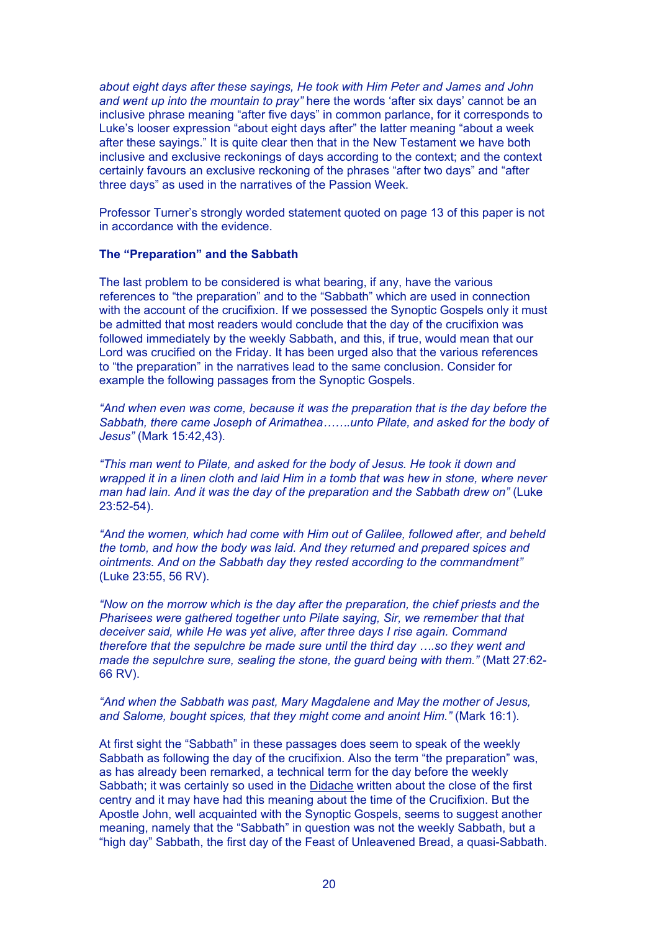*about eight days after these sayings, He took with Him Peter and James and John and went up into the mountain to pray"* here the words 'after six days' cannot be an inclusive phrase meaning "after five days" in common parlance, for it corresponds to Luke's looser expression "about eight days after" the latter meaning "about a week after these sayings." It is quite clear then that in the New Testament we have both inclusive and exclusive reckonings of days according to the context; and the context certainly favours an exclusive reckoning of the phrases "after two days" and "after three days" as used in the narratives of the Passion Week.

Professor Turner's strongly worded statement quoted on page 13 of this paper is not in accordance with the evidence.

#### **The "Preparation" and the Sabbath**

The last problem to be considered is what bearing, if any, have the various references to "the preparation" and to the "Sabbath" which are used in connection with the account of the crucifixion. If we possessed the Synoptic Gospels only it must be admitted that most readers would conclude that the day of the crucifixion was followed immediately by the weekly Sabbath, and this, if true, would mean that our Lord was crucified on the Friday. It has been urged also that the various references to "the preparation" in the narratives lead to the same conclusion. Consider for example the following passages from the Synoptic Gospels.

*"And when even was come, because it was the preparation that is the day before the Sabbath, there came Joseph of Arimathea…….unto Pilate, and asked for the body of Jesus"* (Mark 15:42,43).

*"This man went to Pilate, and asked for the body of Jesus. He took it down and wrapped it in a linen cloth and laid Him in a tomb that was hew in stone, where never man had lain. And it was the day of the preparation and the Sabbath drew on"* (Luke 23:52-54).

*"And the women, which had come with Him out of Galilee, followed after, and beheld the tomb, and how the body was laid. And they returned and prepared spices and ointments. And on the Sabbath day they rested according to the commandment"* (Luke 23:55, 56 RV).

*"Now on the morrow which is the day after the preparation, the chief priests and the Pharisees were gathered together unto Pilate saying, Sir, we remember that that deceiver said, while He was yet alive, after three days I rise again. Command therefore that the sepulchre be made sure until the third day ….so they went and made the sepulchre sure, sealing the stone, the guard being with them."* (Matt 27:62- 66 RV).

## *"And when the Sabbath was past, Mary Magdalene and May the mother of Jesus, and Salome, bought spices, that they might come and anoint Him."* (Mark 16:1).

At first sight the "Sabbath" in these passages does seem to speak of the weekly Sabbath as following the day of the crucifixion. Also the term "the preparation" was, as has already been remarked, a technical term for the day before the weekly Sabbath; it was certainly so used in the Didache written about the close of the first centry and it may have had this meaning about the time of the Crucifixion. But the Apostle John, well acquainted with the Synoptic Gospels, seems to suggest another meaning, namely that the "Sabbath" in question was not the weekly Sabbath, but a "high day" Sabbath, the first day of the Feast of Unleavened Bread, a quasi-Sabbath.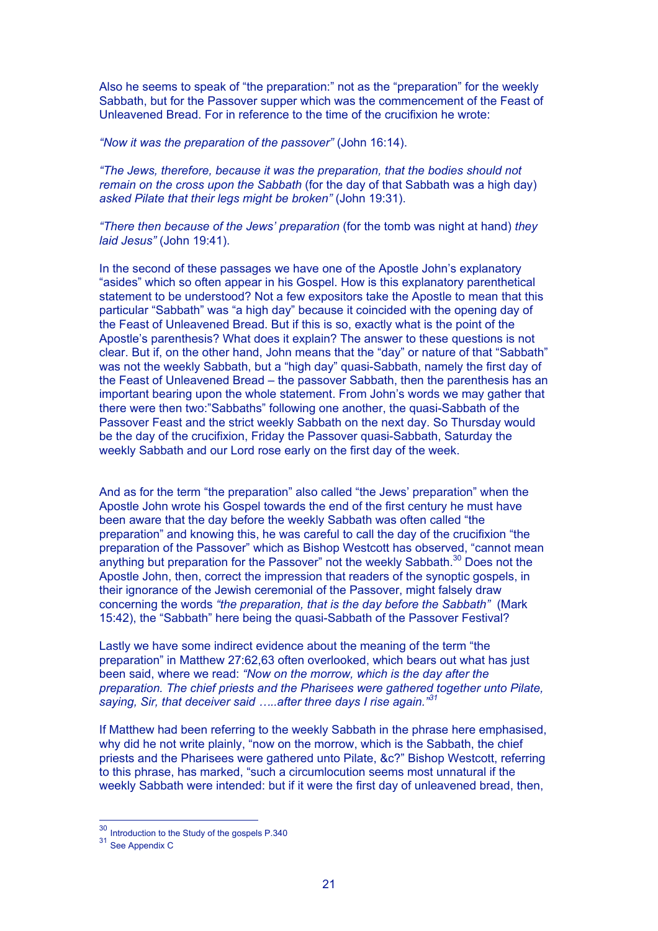Also he seems to speak of "the preparation:" not as the "preparation" for the weekly Sabbath, but for the Passover supper which was the commencement of the Feast of Unleavened Bread. For in reference to the time of the crucifixion he wrote:

*"Now it was the preparation of the passover"* (John 16:14).

*"The Jews, therefore, because it was the preparation, that the bodies should not remain on the cross upon the Sabbath* (for the day of that Sabbath was a high day) *asked Pilate that their legs might be broken"* (John 19:31).

*"There then because of the Jews' preparation* (for the tomb was night at hand) *they laid Jesus"* (John 19:41).

In the second of these passages we have one of the Apostle John's explanatory "asides" which so often appear in his Gospel. How is this explanatory parenthetical statement to be understood? Not a few expositors take the Apostle to mean that this particular "Sabbath" was "a high day" because it coincided with the opening day of the Feast of Unleavened Bread. But if this is so, exactly what is the point of the Apostle's parenthesis? What does it explain? The answer to these questions is not clear. But if, on the other hand, John means that the "day" or nature of that "Sabbath" was not the weekly Sabbath, but a "high day" quasi-Sabbath, namely the first day of the Feast of Unleavened Bread – the passover Sabbath, then the parenthesis has an important bearing upon the whole statement. From John's words we may gather that there were then two:"Sabbaths" following one another, the quasi-Sabbath of the Passover Feast and the strict weekly Sabbath on the next day. So Thursday would be the day of the crucifixion, Friday the Passover quasi-Sabbath, Saturday the weekly Sabbath and our Lord rose early on the first day of the week.

And as for the term "the preparation" also called "the Jews' preparation" when the Apostle John wrote his Gospel towards the end of the first century he must have been aware that the day before the weekly Sabbath was often called "the preparation" and knowing this, he was careful to call the day of the crucifixion "the preparation of the Passover" which as Bishop Westcott has observed, "cannot mean anything but preparation for the Passover" not the weekly Sabbath. $30$  Does not the Apostle John, then, correct the impression that readers of the synoptic gospels, in their ignorance of the Jewish ceremonial of the Passover, might falsely draw concerning the words *"the preparation, that is the day before the Sabbath"* (Mark 15:42), the "Sabbath" here being the quasi-Sabbath of the Passover Festival?

Lastly we have some indirect evidence about the meaning of the term "the preparation" in Matthew 27:62,63 often overlooked, which bears out what has just been said, where we read: *"Now on the morrow, which is the day after the preparation. The chief priests and the Pharisees were gathered together unto Pilate, saying, Sir, that deceiver said …..after three days I rise again."31*

If Matthew had been referring to the weekly Sabbath in the phrase here emphasised, why did he not write plainly, "now on the morrow, which is the Sabbath, the chief priests and the Pharisees were gathered unto Pilate, &c?" Bishop Westcott, referring to this phrase, has marked, "such a circumlocution seems most unnatural if the weekly Sabbath were intended: but if it were the first day of unleavened bread, then,

 $30 \text{ Introduction}$  to the Study of the gospels P.340  $31 \text{ See Appendix C}$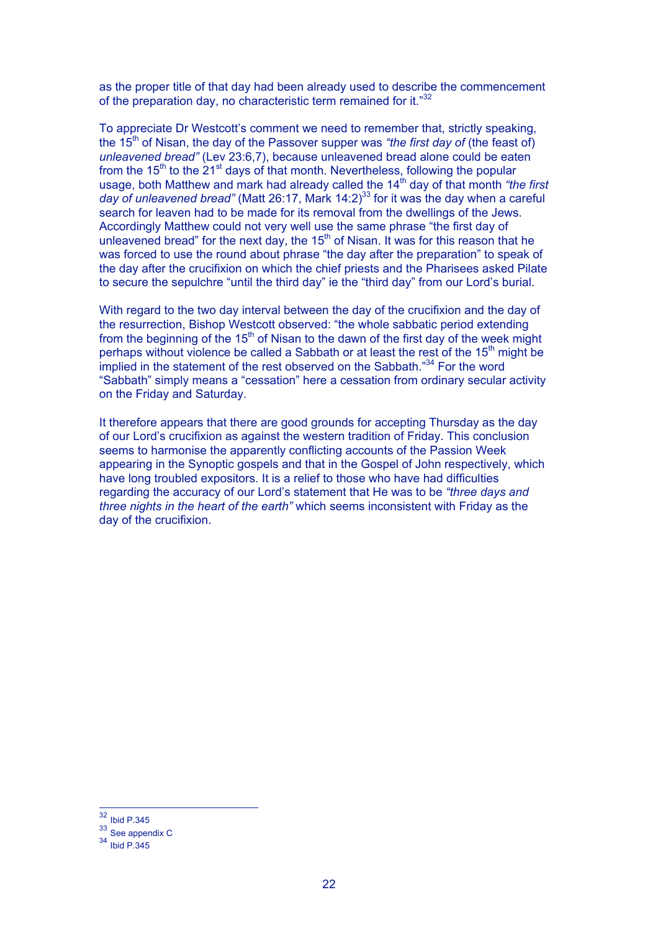as the proper title of that day had been already used to describe the commencement of the preparation day, no characteristic term remained for it."<sup>32</sup>

To appreciate Dr Westcott's comment we need to remember that, strictly speaking, the 15th of Nisan, the day of the Passover supper was *"the first day of* (the feast of) *unleavened bread"* (Lev 23:6,7), because unleavened bread alone could be eaten from the  $15<sup>th</sup>$  to the 21<sup>st</sup> days of that month. Nevertheless, following the popular usage, both Matthew and mark had already called the 14<sup>th</sup> day of that month *"the first* day of unleavened bread" (Matt 26:17, Mark 14:2)<sup>33</sup> for it was the day when a careful search for leaven had to be made for its removal from the dwellings of the Jews. Accordingly Matthew could not very well use the same phrase "the first day of unleavened bread" for the next day, the  $15<sup>th</sup>$  of Nisan. It was for this reason that he was forced to use the round about phrase "the day after the preparation" to speak of the day after the crucifixion on which the chief priests and the Pharisees asked Pilate to secure the sepulchre "until the third day" ie the "third day" from our Lord's burial.

With regard to the two day interval between the day of the crucifixion and the day of the resurrection, Bishop Westcott observed: "the whole sabbatic period extending from the beginning of the 15<sup>th</sup> of Nisan to the dawn of the first day of the week might perhaps without violence be called a Sabbath or at least the rest of the 15<sup>th</sup> might be implied in the statement of the rest observed on the Sabbath."<sup>34</sup> For the word "Sabbath" simply means a "cessation" here a cessation from ordinary secular activity on the Friday and Saturday.

It therefore appears that there are good grounds for accepting Thursday as the day of our Lord's crucifixion as against the western tradition of Friday. This conclusion seems to harmonise the apparently conflicting accounts of the Passion Week appearing in the Synoptic gospels and that in the Gospel of John respectively, which have long troubled expositors. It is a relief to those who have had difficulties regarding the accuracy of our Lord's statement that He was to be *"three days and three nights in the heart of the earth"* which seems inconsistent with Friday as the day of the crucifixion.

 <sup>32</sup> Ibid P.345

<sup>&</sup>lt;sup>33</sup> See appendix C

<sup>34</sup> Ibid P.345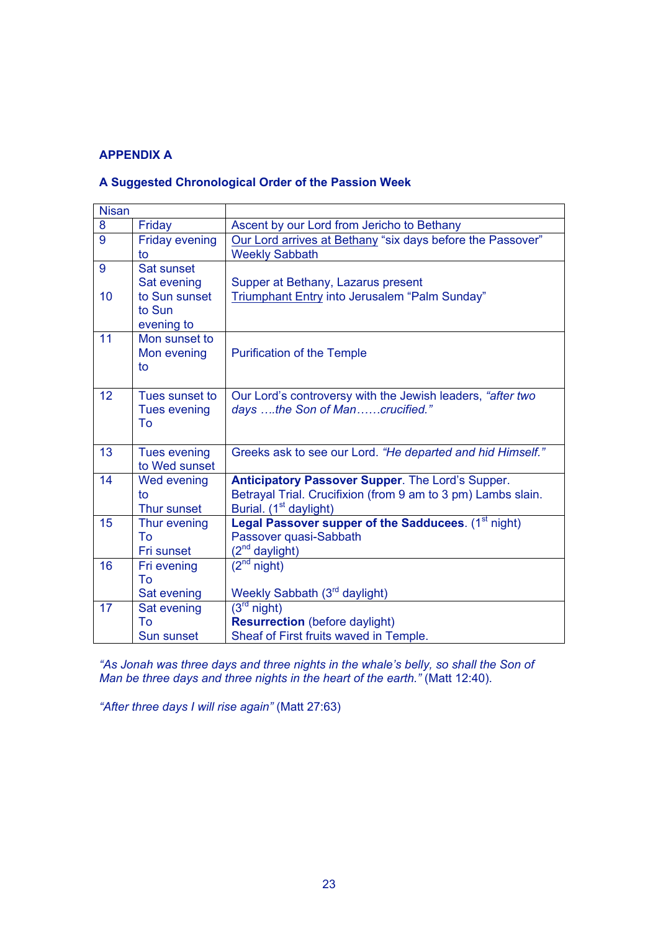# **APPENDIX A**

# **A Suggested Chronological Order of the Passion Week**

| <b>Nisan</b> |                                       |                                                                                              |
|--------------|---------------------------------------|----------------------------------------------------------------------------------------------|
| 8            | Friday                                | Ascent by our Lord from Jericho to Bethany                                                   |
| 9            | <b>Friday evening</b>                 | Our Lord arrives at Bethany "six days before the Passover"                                   |
|              | to                                    | <b>Weekly Sabbath</b>                                                                        |
| 9            | Sat sunset                            |                                                                                              |
|              | Sat evening                           | Supper at Bethany, Lazarus present                                                           |
| 10           | to Sun sunset                         | Triumphant Entry into Jerusalem "Palm Sunday"                                                |
|              | to Sun                                |                                                                                              |
|              | evening to                            |                                                                                              |
| 11           | Mon sunset to                         |                                                                                              |
|              | Mon evening                           | <b>Purification of the Temple</b>                                                            |
|              | to                                    |                                                                                              |
| 12           |                                       |                                                                                              |
|              | Tues sunset to<br><b>Tues evening</b> | Our Lord's controversy with the Jewish leaders, "after two<br>days the Son of Mancrucified." |
|              | To                                    |                                                                                              |
|              |                                       |                                                                                              |
| 13           | <b>Tues evening</b>                   | Greeks ask to see our Lord. "He departed and hid Himself."                                   |
|              | to Wed sunset                         |                                                                                              |
| 14           | Wed evening                           | Anticipatory Passover Supper. The Lord's Supper.                                             |
|              | to                                    | Betrayal Trial. Crucifixion (from 9 am to 3 pm) Lambs slain.                                 |
|              | Thur sunset                           | Burial. (1 <sup>st</sup> daylight)                                                           |
| 15           | Thur evening                          | Legal Passover supper of the Sadducees. (1 <sup>st</sup> night)                              |
|              | To                                    | Passover quasi-Sabbath                                                                       |
|              | Fri sunset                            | (2 <sup>nd</sup> daylight)                                                                   |
| 16           | Fri evening                           | $\overline{(2^{nd} \text{ night})}$                                                          |
|              | To                                    |                                                                                              |
|              | Sat evening                           | Weekly Sabbath (3rd daylight)                                                                |
| 17           | Sat evening                           | $(3rd$ night)                                                                                |
|              | To                                    | <b>Resurrection</b> (before daylight)                                                        |
|              | Sun sunset                            | Sheaf of First fruits waved in Temple.                                                       |

*"As Jonah was three days and three nights in the whale's belly, so shall the Son of Man be three days and three nights in the heart of the earth."* (Matt 12:40).

*"After three days I will rise again"* (Matt 27:63)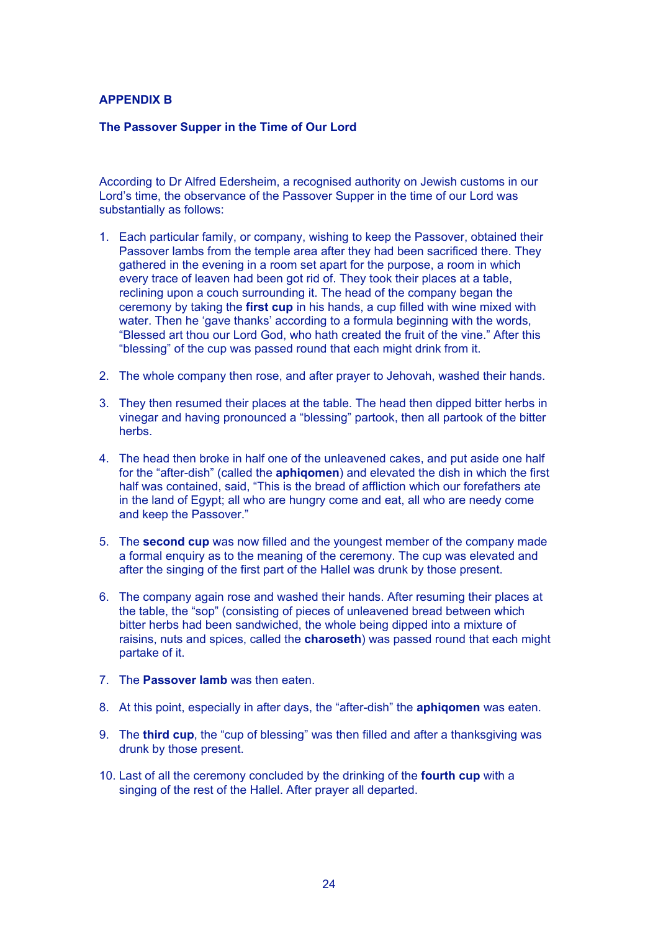## **APPENDIX B**

### **The Passover Supper in the Time of Our Lord**

According to Dr Alfred Edersheim, a recognised authority on Jewish customs in our Lord's time, the observance of the Passover Supper in the time of our Lord was substantially as follows:

- 1. Each particular family, or company, wishing to keep the Passover, obtained their Passover lambs from the temple area after they had been sacrificed there. They gathered in the evening in a room set apart for the purpose, a room in which every trace of leaven had been got rid of. They took their places at a table, reclining upon a couch surrounding it. The head of the company began the ceremony by taking the **first cup** in his hands, a cup filled with wine mixed with water. Then he 'gave thanks' according to a formula beginning with the words, "Blessed art thou our Lord God, who hath created the fruit of the vine." After this "blessing" of the cup was passed round that each might drink from it.
- 2. The whole company then rose, and after prayer to Jehovah, washed their hands.
- 3. They then resumed their places at the table. The head then dipped bitter herbs in vinegar and having pronounced a "blessing" partook, then all partook of the bitter herbs.
- 4. The head then broke in half one of the unleavened cakes, and put aside one half for the "after-dish" (called the **aphiqomen**) and elevated the dish in which the first half was contained, said, "This is the bread of affliction which our forefathers ate in the land of Egypt; all who are hungry come and eat, all who are needy come and keep the Passover."
- 5. The **second cup** was now filled and the youngest member of the company made a formal enquiry as to the meaning of the ceremony. The cup was elevated and after the singing of the first part of the Hallel was drunk by those present.
- 6. The company again rose and washed their hands. After resuming their places at the table, the "sop" (consisting of pieces of unleavened bread between which bitter herbs had been sandwiched, the whole being dipped into a mixture of raisins, nuts and spices, called the **charoseth**) was passed round that each might partake of it.
- 7. The **Passover lamb** was then eaten.
- 8. At this point, especially in after days, the "after-dish" the **aphiqomen** was eaten.
- 9. The **third cup**, the "cup of blessing" was then filled and after a thanksgiving was drunk by those present.
- 10. Last of all the ceremony concluded by the drinking of the **fourth cup** with a singing of the rest of the Hallel. After prayer all departed.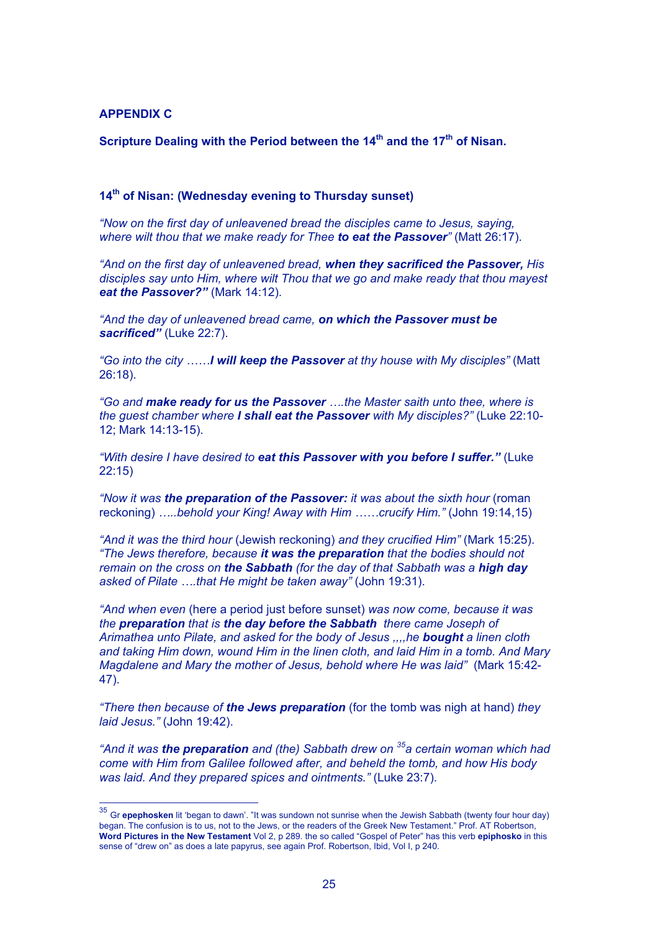### **APPENDIX C**

**Scripture Dealing with the Period between the 14th and the 17th of Nisan.**

## **14th of Nisan: (Wednesday evening to Thursday sunset)**

*"Now on the first day of unleavened bread the disciples came to Jesus, saying, where wilt thou that we make ready for Thee to eat the Passover"* (Matt 26:17).

*"And on the first day of unleavened bread, when they sacrificed the Passover, His disciples say unto Him, where wilt Thou that we go and make ready that thou mayest eat the Passover?"* (Mark 14:12).

*"And the day of unleavened bread came, on which the Passover must be sacrificed"* (Luke 22:7).

*"Go into the city ……I will keep the Passover at thy house with My disciples"* (Matt 26:18).

*"Go and make ready for us the Passover ….the Master saith unto thee, where is the guest chamber where I shall eat the Passover with My disciples?"* (Luke 22:10- 12; Mark 14:13-15).

*"With desire I have desired to eat this Passover with you before I suffer."* (Luke 22:15)

*"Now it was the preparation of the Passover: it was about the sixth hour* (roman reckoning) *…..behold your King! Away with Him ……crucify Him."* (John 19:14,15)

*"And it was the third hour* (Jewish reckoning) *and they crucified Him"* (Mark 15:25). *"The Jews therefore, because it was the preparation that the bodies should not remain on the cross on the Sabbath (for the day of that Sabbath was a high day asked of Pilate ….that He might be taken away"* (John 19:31).

*"And when even* (here a period just before sunset) *was now come, because it was the preparation that is the day before the Sabbath there came Joseph of Arimathea unto Pilate, and asked for the body of Jesus ,,,,he bought a linen cloth and taking Him down, wound Him in the linen cloth, and laid Him in a tomb. And Mary Magdalene and Mary the mother of Jesus, behold where He was laid"* (Mark 15:42- 47).

*"There then because of the Jews preparation* (for the tomb was nigh at hand) *they laid Jesus."* (John 19:42).

*"And it was the preparation and (the) Sabbath drew on <sup>35</sup> a certain woman which had come with Him from Galilee followed after, and beheld the tomb, and how His body was laid. And they prepared spices and ointments."* (Luke 23:7).

<sup>&</sup>lt;sup>35</sup> Gr **epephosken** lit 'began to dawn'. "It was sundown not sunrise when the Jewish Sabbath (twenty four hour day) began. The confusion is to us, not to the Jews, or the readers of the Greek New Testament." Prof. AT Robertson, **Word Pictures in the New Testament** Vol 2, p 289. the so called "Gospel of Peter" has this verb **epiphosko** in this sense of "drew on" as does a late papyrus, see again Prof. Robertson, Ibid, Vol I, p 240.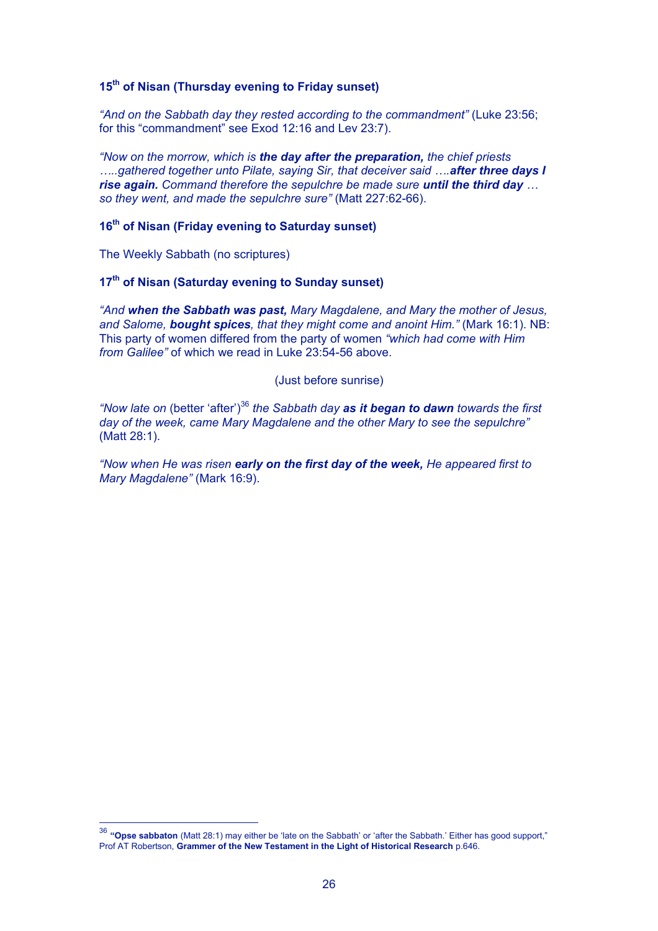# **15th of Nisan (Thursday evening to Friday sunset)**

*"And on the Sabbath day they rested according to the commandment"* (Luke 23:56; for this "commandment" see Exod 12:16 and Lev 23:7).

*"Now on the morrow, which is the day after the preparation, the chief priests …..gathered together unto Pilate, saying Sir, that deceiver said ….after three days I rise again. Command therefore the sepulchre be made sure until the third day … so they went, and made the sepulchre sure"* (Matt 227:62-66).

## **16th of Nisan (Friday evening to Saturday sunset)**

The Weekly Sabbath (no scriptures)

# **17th of Nisan (Saturday evening to Sunday sunset)**

*"And when the Sabbath was past, Mary Magdalene, and Mary the mother of Jesus, and Salome, bought spices, that they might come and anoint Him."* (Mark 16:1). NB: This party of women differed from the party of women *"which had come with Him from Galilee"* of which we read in Luke 23:54-56 above.

(Just before sunrise)

"Now late on (better 'after')<sup>36</sup> the Sabbath day **as it began to dawn** towards the first *day of the week, came Mary Magdalene and the other Mary to see the sepulchre"* (Matt 28:1).

*"Now when He was risen early on the first day of the week, He appeared first to Mary Magdalene"* (Mark 16:9).

 <sup>36</sup> **"Opse sabbaton** (Matt 28:1) may either be 'late on the Sabbath' or 'after the Sabbath.' Either has good support," Prof AT Robertson, **Grammer of the New Testament in the Light of Historical Research** p.646.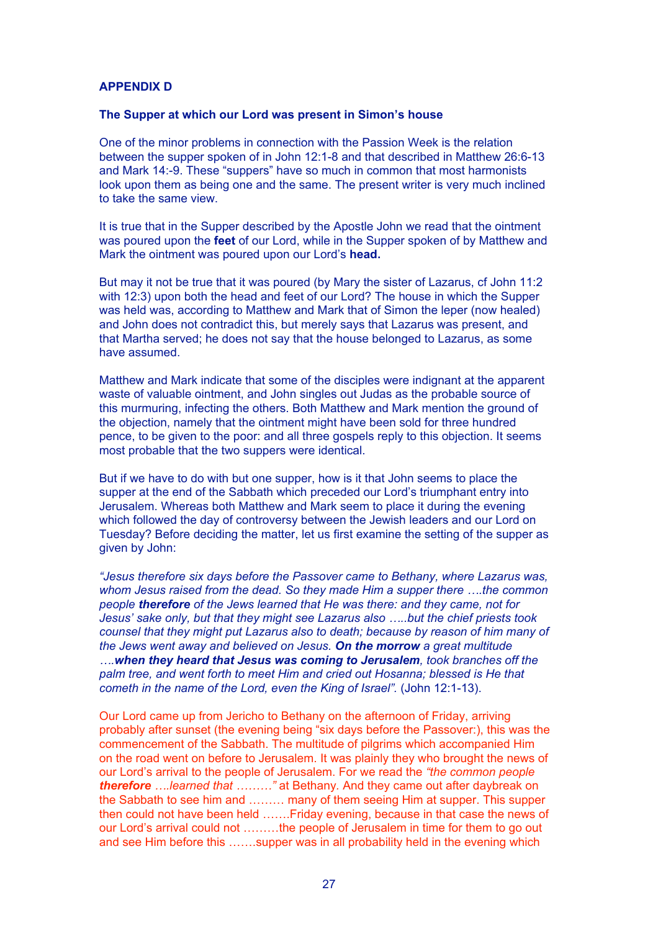### **APPENDIX D**

#### **The Supper at which our Lord was present in Simon's house**

One of the minor problems in connection with the Passion Week is the relation between the supper spoken of in John 12:1-8 and that described in Matthew 26:6-13 and Mark 14:-9. These "suppers" have so much in common that most harmonists look upon them as being one and the same. The present writer is very much inclined to take the same view.

It is true that in the Supper described by the Apostle John we read that the ointment was poured upon the **feet** of our Lord, while in the Supper spoken of by Matthew and Mark the ointment was poured upon our Lord's **head.**

But may it not be true that it was poured (by Mary the sister of Lazarus, cf John 11:2 with 12:3) upon both the head and feet of our Lord? The house in which the Supper was held was, according to Matthew and Mark that of Simon the leper (now healed) and John does not contradict this, but merely says that Lazarus was present, and that Martha served; he does not say that the house belonged to Lazarus, as some have assumed.

Matthew and Mark indicate that some of the disciples were indignant at the apparent waste of valuable ointment, and John singles out Judas as the probable source of this murmuring, infecting the others. Both Matthew and Mark mention the ground of the objection, namely that the ointment might have been sold for three hundred pence, to be given to the poor: and all three gospels reply to this objection. It seems most probable that the two suppers were identical.

But if we have to do with but one supper, how is it that John seems to place the supper at the end of the Sabbath which preceded our Lord's triumphant entry into Jerusalem. Whereas both Matthew and Mark seem to place it during the evening which followed the day of controversy between the Jewish leaders and our Lord on Tuesday? Before deciding the matter, let us first examine the setting of the supper as given by John:

*"Jesus therefore six days before the Passover came to Bethany, where Lazarus was, whom Jesus raised from the dead. So they made Him a supper there ….the common people therefore of the Jews learned that He was there: and they came, not for Jesus' sake only, but that they might see Lazarus also …..but the chief priests took counsel that they might put Lazarus also to death; because by reason of him many of the Jews went away and believed on Jesus. On the morrow a great multitude ….when they heard that Jesus was coming to Jerusalem, took branches off the palm tree, and went forth to meet Him and cried out Hosanna; blessed is He that cometh in the name of the Lord, even the King of Israel".* (John 12:1-13).

Our Lord came up from Jericho to Bethany on the afternoon of Friday, arriving probably after sunset (the evening being "six days before the Passover:), this was the commencement of the Sabbath. The multitude of pilgrims which accompanied Him on the road went on before to Jerusalem. It was plainly they who brought the news of our Lord's arrival to the people of Jerusalem. For we read the *"the common people therefore ….learned that ………"* at Bethany*.* And they came out after daybreak on the Sabbath to see him and ……… many of them seeing Him at supper. This supper then could not have been held …….Friday evening, because in that case the news of our Lord's arrival could not ………the people of Jerusalem in time for them to go out and see Him before this …….supper was in all probability held in the evening which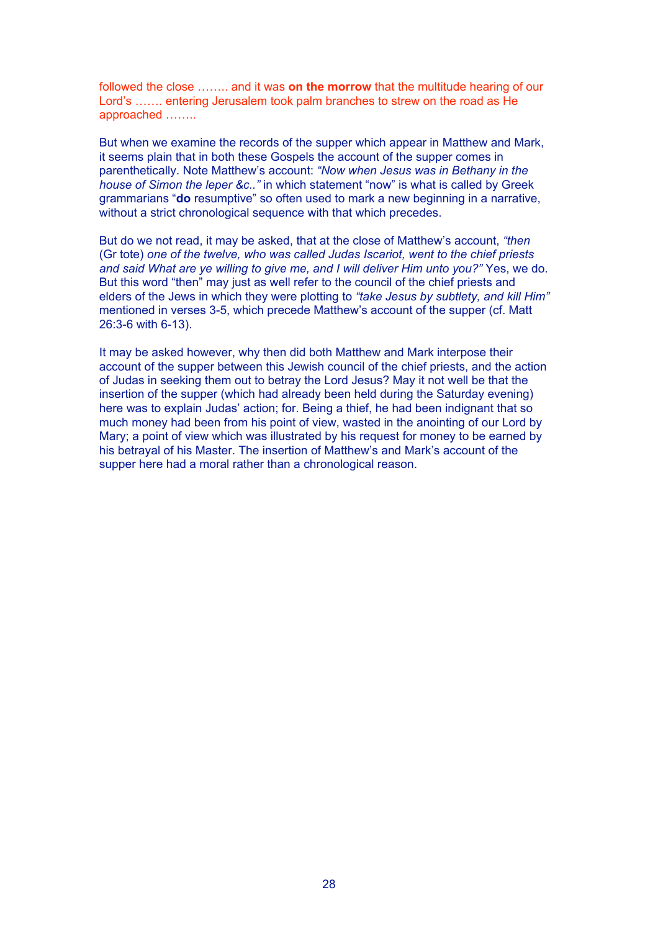followed the close …….. and it was **on the morrow** that the multitude hearing of our Lord's ……. entering Jerusalem took palm branches to strew on the road as He approached ……..

But when we examine the records of the supper which appear in Matthew and Mark, it seems plain that in both these Gospels the account of the supper comes in parenthetically. Note Matthew's account: *"Now when Jesus was in Bethany in the house of Simon the leper &c.."* in which statement "now" is what is called by Greek grammarians "**do** resumptive" so often used to mark a new beginning in a narrative, without a strict chronological sequence with that which precedes.

But do we not read, it may be asked, that at the close of Matthew's account, *"then* (Gr tote) *one of the twelve, who was called Judas Iscariot, went to the chief priests and said What are ye willing to give me, and I will deliver Him unto you?"* Yes, we do. But this word "then" may just as well refer to the council of the chief priests and elders of the Jews in which they were plotting to *"take Jesus by subtlety, and kill Him"* mentioned in verses 3-5, which precede Matthew's account of the supper (cf. Matt 26:3-6 with 6-13).

It may be asked however, why then did both Matthew and Mark interpose their account of the supper between this Jewish council of the chief priests, and the action of Judas in seeking them out to betray the Lord Jesus? May it not well be that the insertion of the supper (which had already been held during the Saturday evening) here was to explain Judas' action; for. Being a thief, he had been indignant that so much money had been from his point of view, wasted in the anointing of our Lord by Mary; a point of view which was illustrated by his request for money to be earned by his betrayal of his Master. The insertion of Matthew's and Mark's account of the supper here had a moral rather than a chronological reason.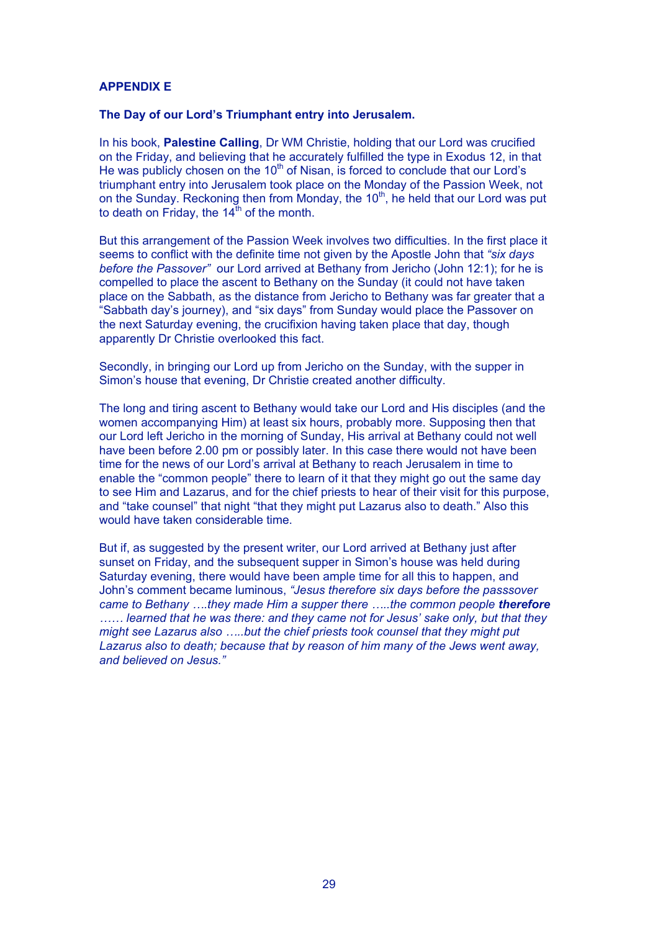### **APPENDIX E**

#### **The Day of our Lord's Triumphant entry into Jerusalem.**

In his book, **Palestine Calling**, Dr WM Christie, holding that our Lord was crucified on the Friday, and believing that he accurately fulfilled the type in Exodus 12, in that He was publicly chosen on the  $10<sup>th</sup>$  of Nisan, is forced to conclude that our Lord's triumphant entry into Jerusalem took place on the Monday of the Passion Week, not on the Sunday. Reckoning then from Monday, the  $10<sup>th</sup>$ , he held that our Lord was put to death on Friday, the  $14<sup>th</sup>$  of the month.

But this arrangement of the Passion Week involves two difficulties. In the first place it seems to conflict with the definite time not given by the Apostle John that *"six days before the Passover"* our Lord arrived at Bethany from Jericho (John 12:1); for he is compelled to place the ascent to Bethany on the Sunday (it could not have taken place on the Sabbath, as the distance from Jericho to Bethany was far greater that a "Sabbath day's journey), and "six days" from Sunday would place the Passover on the next Saturday evening, the crucifixion having taken place that day, though apparently Dr Christie overlooked this fact.

Secondly, in bringing our Lord up from Jericho on the Sunday, with the supper in Simon's house that evening, Dr Christie created another difficulty.

The long and tiring ascent to Bethany would take our Lord and His disciples (and the women accompanying Him) at least six hours, probably more. Supposing then that our Lord left Jericho in the morning of Sunday, His arrival at Bethany could not well have been before 2.00 pm or possibly later. In this case there would not have been time for the news of our Lord's arrival at Bethany to reach Jerusalem in time to enable the "common people" there to learn of it that they might go out the same day to see Him and Lazarus, and for the chief priests to hear of their visit for this purpose, and "take counsel" that night "that they might put Lazarus also to death." Also this would have taken considerable time.

But if, as suggested by the present writer, our Lord arrived at Bethany just after sunset on Friday, and the subsequent supper in Simon's house was held during Saturday evening, there would have been ample time for all this to happen, and John's comment became luminous, *"Jesus therefore six days before the passsover came to Bethany ....they made Him a supper there .....the common people therefore …… learned that he was there: and they came not for Jesus' sake only, but that they might see Lazarus also …..but the chief priests took counsel that they might put Lazarus also to death; because that by reason of him many of the Jews went away, and believed on Jesus."*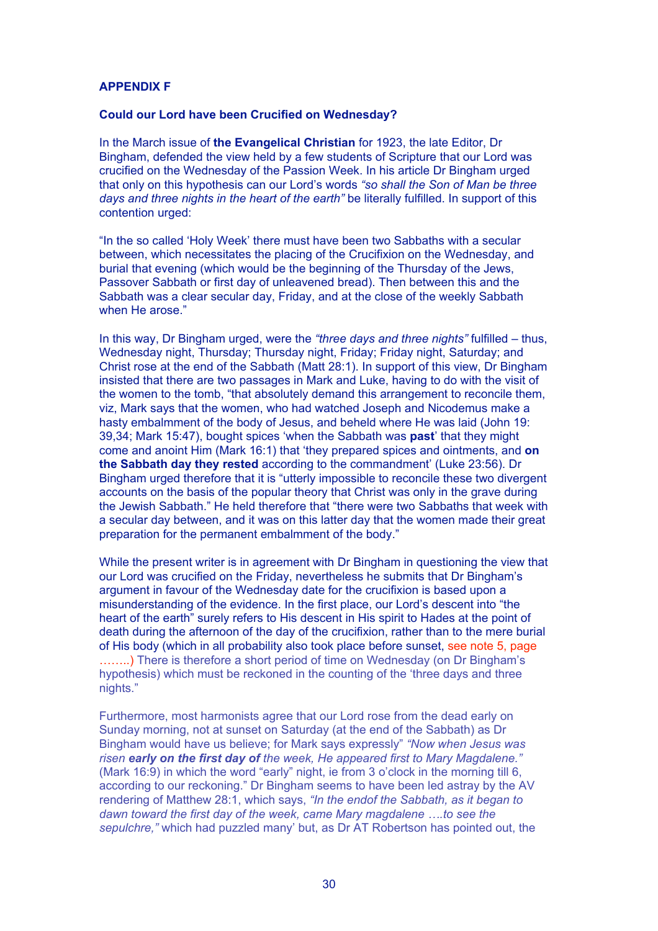## **APPENDIX F**

#### **Could our Lord have been Crucified on Wednesday?**

In the March issue of **the Evangelical Christian** for 1923, the late Editor, Dr Bingham, defended the view held by a few students of Scripture that our Lord was crucified on the Wednesday of the Passion Week. In his article Dr Bingham urged that only on this hypothesis can our Lord's words *"so shall the Son of Man be three days and three nights in the heart of the earth"* be literally fulfilled. In support of this contention urged:

"In the so called 'Holy Week' there must have been two Sabbaths with a secular between, which necessitates the placing of the Crucifixion on the Wednesday, and burial that evening (which would be the beginning of the Thursday of the Jews, Passover Sabbath or first day of unleavened bread). Then between this and the Sabbath was a clear secular day, Friday, and at the close of the weekly Sabbath when He arose."

In this way, Dr Bingham urged, were the *"three days and three nights"* fulfilled – thus, Wednesday night, Thursday; Thursday night, Friday; Friday night, Saturday; and Christ rose at the end of the Sabbath (Matt 28:1). In support of this view, Dr Bingham insisted that there are two passages in Mark and Luke, having to do with the visit of the women to the tomb, "that absolutely demand this arrangement to reconcile them, viz, Mark says that the women, who had watched Joseph and Nicodemus make a hasty embalmment of the body of Jesus, and beheld where He was laid (John 19: 39,34; Mark 15:47), bought spices 'when the Sabbath was **past**' that they might come and anoint Him (Mark 16:1) that 'they prepared spices and ointments, and **on the Sabbath day they rested** according to the commandment' (Luke 23:56). Dr Bingham urged therefore that it is "utterly impossible to reconcile these two divergent accounts on the basis of the popular theory that Christ was only in the grave during the Jewish Sabbath." He held therefore that "there were two Sabbaths that week with a secular day between, and it was on this latter day that the women made their great preparation for the permanent embalmment of the body."

While the present writer is in agreement with Dr Bingham in questioning the view that our Lord was crucified on the Friday, nevertheless he submits that Dr Bingham's argument in favour of the Wednesday date for the crucifixion is based upon a misunderstanding of the evidence. In the first place, our Lord's descent into "the heart of the earth" surely refers to His descent in His spirit to Hades at the point of death during the afternoon of the day of the crucifixion, rather than to the mere burial of His body (which in all probability also took place before sunset, see note 5, page ……..) There is therefore a short period of time on Wednesday (on Dr Bingham's hypothesis) which must be reckoned in the counting of the 'three days and three nights."

Furthermore, most harmonists agree that our Lord rose from the dead early on Sunday morning, not at sunset on Saturday (at the end of the Sabbath) as Dr Bingham would have us believe; for Mark says expressly" *"Now when Jesus was risen early on the first day of the week, He appeared first to Mary Magdalene."* (Mark 16:9) in which the word "early" night, ie from 3 o'clock in the morning till 6, according to our reckoning." Dr Bingham seems to have been led astray by the AV rendering of Matthew 28:1, which says, *"In the endof the Sabbath, as it began to dawn toward the first day of the week, came Mary magdalene ….to see the sepulchre,"* which had puzzled many' but, as Dr AT Robertson has pointed out, the